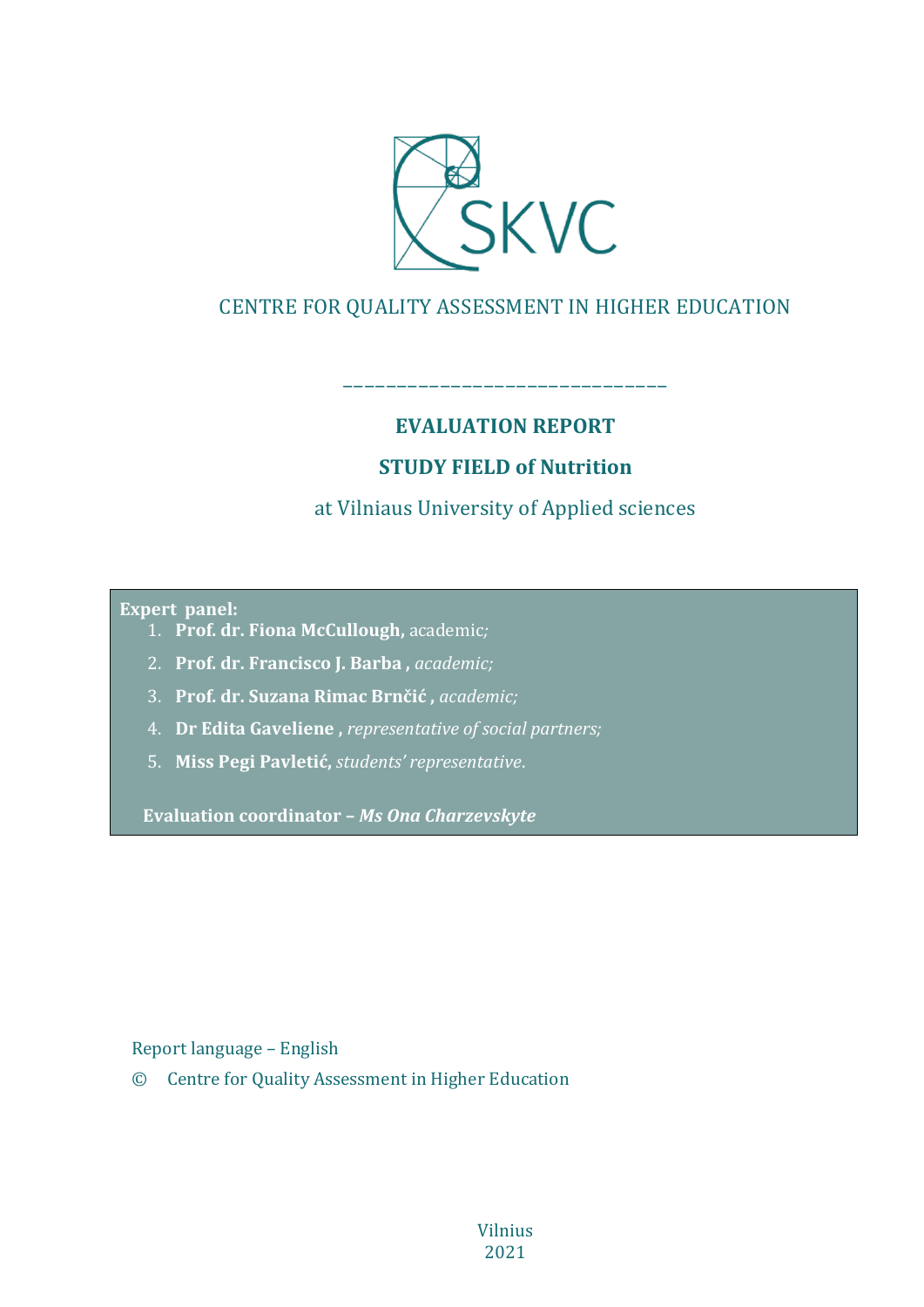

# CENTRE FOR QUALITY ASSESSMENT IN HIGHER EDUCATION

# **EVALUATION REPORT**

––––––––––––––––––––––––––––––

# **STUDY FIELD of Nutrition**

# at Vilniaus University of Applied sciences

#### **Expert panel:**

- 1. **Prof. dr. Fiona McCullough,** academic*;*
- 2. **Prof. dr. Francisco J. Barba ,** *academic;*
- 3. **Prof. dr. Suzana Rimac Brnčić ,** *academic;*
- 4. **Dr Edita Gaveliene ,** *representative of social partners;*
- 5. **Miss Pegi Pavletić,** *students' representative*.

**Evaluation coordinator –** *Ms Ona Charzevskyte*

Report language – English

© Centre for Quality Assessment in Higher Education

Vilnius 2021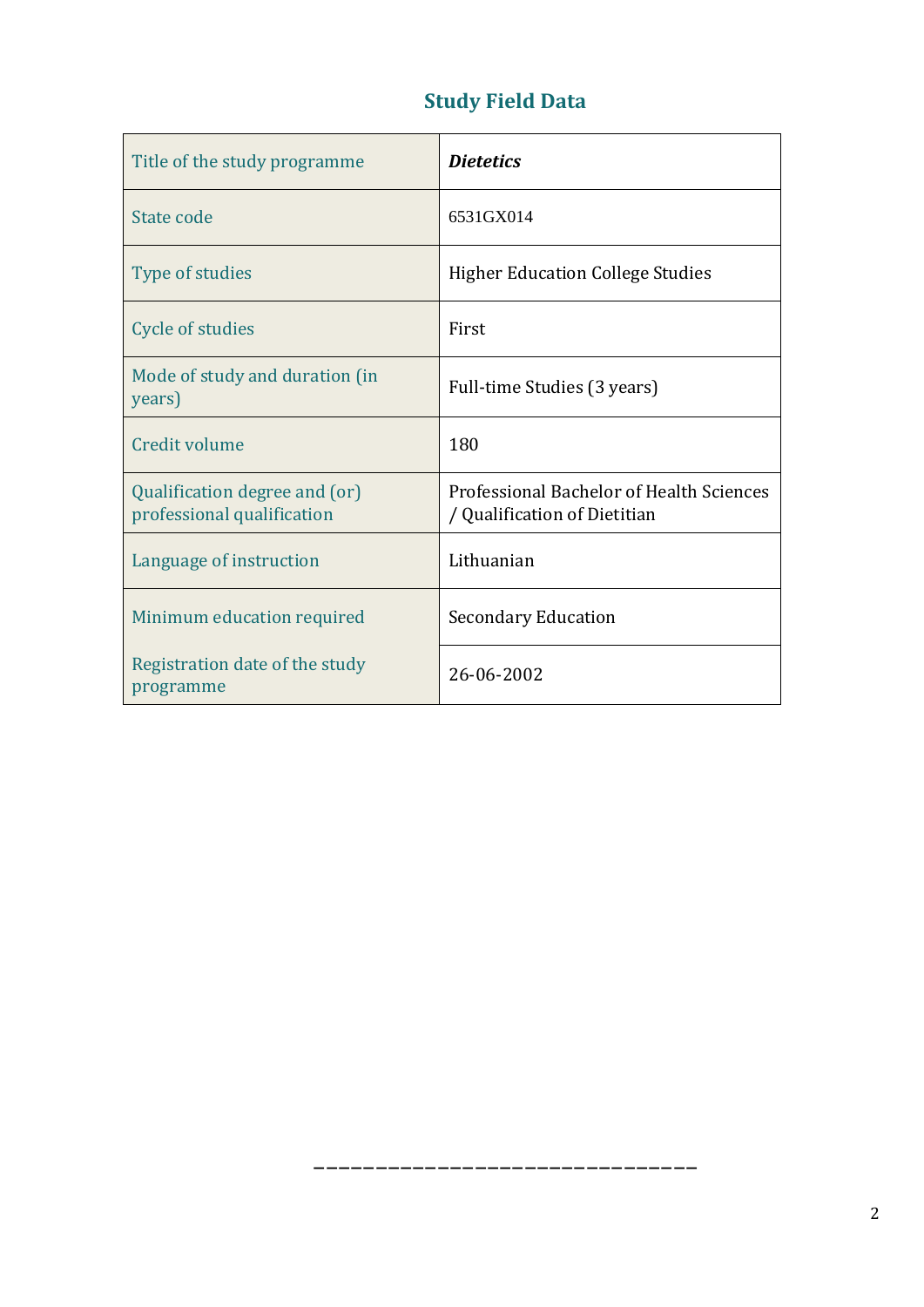# **Study Field Data**

| Title of the study programme                                | <b>Dietetics</b>                                                         |
|-------------------------------------------------------------|--------------------------------------------------------------------------|
| State code                                                  | 6531GX014                                                                |
| Type of studies                                             | <b>Higher Education College Studies</b>                                  |
| Cycle of studies                                            | First                                                                    |
| Mode of study and duration (in<br>years)                    | Full-time Studies (3 years)                                              |
| <b>Credit volume</b>                                        | 180                                                                      |
| Qualification degree and (or)<br>professional qualification | Professional Bachelor of Health Sciences<br>/ Qualification of Dietitian |
| Language of instruction                                     | Lithuanian                                                               |
| Minimum education required                                  | <b>Secondary Education</b>                                               |
| Registration date of the study<br>programme                 | 26-06-2002                                                               |

–––––––––––––––––––––––––––––––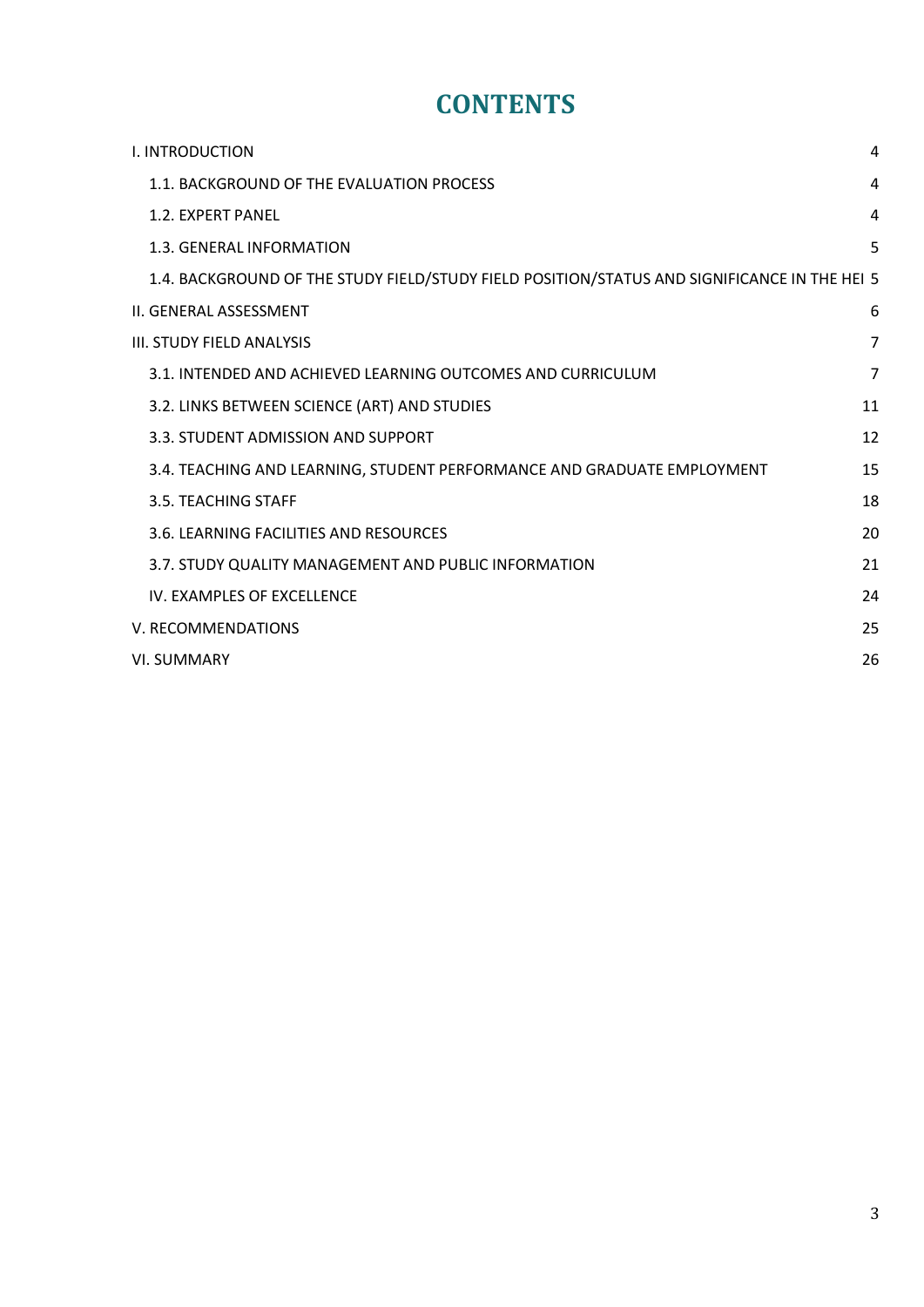# **CONTENTS**

| I. INTRODUCTION                                                                              | 4              |
|----------------------------------------------------------------------------------------------|----------------|
| 1.1. BACKGROUND OF THE EVALUATION PROCESS                                                    | 4              |
| 1.2. EXPERT PANEL                                                                            | 4              |
| 1.3. GENERAL INFORMATION                                                                     | 5              |
| 1.4. BACKGROUND OF THE STUDY FIELD/STUDY FIELD POSITION/STATUS AND SIGNIFICANCE IN THE HEI 5 |                |
| II. GENERAL ASSESSMENT                                                                       | 6              |
| <b>III. STUDY FIELD ANALYSIS</b>                                                             | $\overline{7}$ |
| 3.1. INTENDED AND ACHIEVED LEARNING OUTCOMES AND CURRICULUM                                  | $\overline{7}$ |
| 3.2. LINKS BETWEEN SCIENCE (ART) AND STUDIES                                                 | 11             |
| 3.3. STUDENT ADMISSION AND SUPPORT                                                           | 12             |
| 3.4. TEACHING AND LEARNING, STUDENT PERFORMANCE AND GRADUATE EMPLOYMENT                      | 15             |
| 3.5. TEACHING STAFF                                                                          | 18             |
| 3.6. LEARNING FACILITIES AND RESOURCES                                                       | 20             |
| 3.7. STUDY QUALITY MANAGEMENT AND PUBLIC INFORMATION                                         | 21             |
| IV. EXAMPLES OF EXCELLENCE                                                                   | 24             |
| V. RECOMMENDATIONS                                                                           | 25             |
| <b>VI. SUMMARY</b>                                                                           | 26             |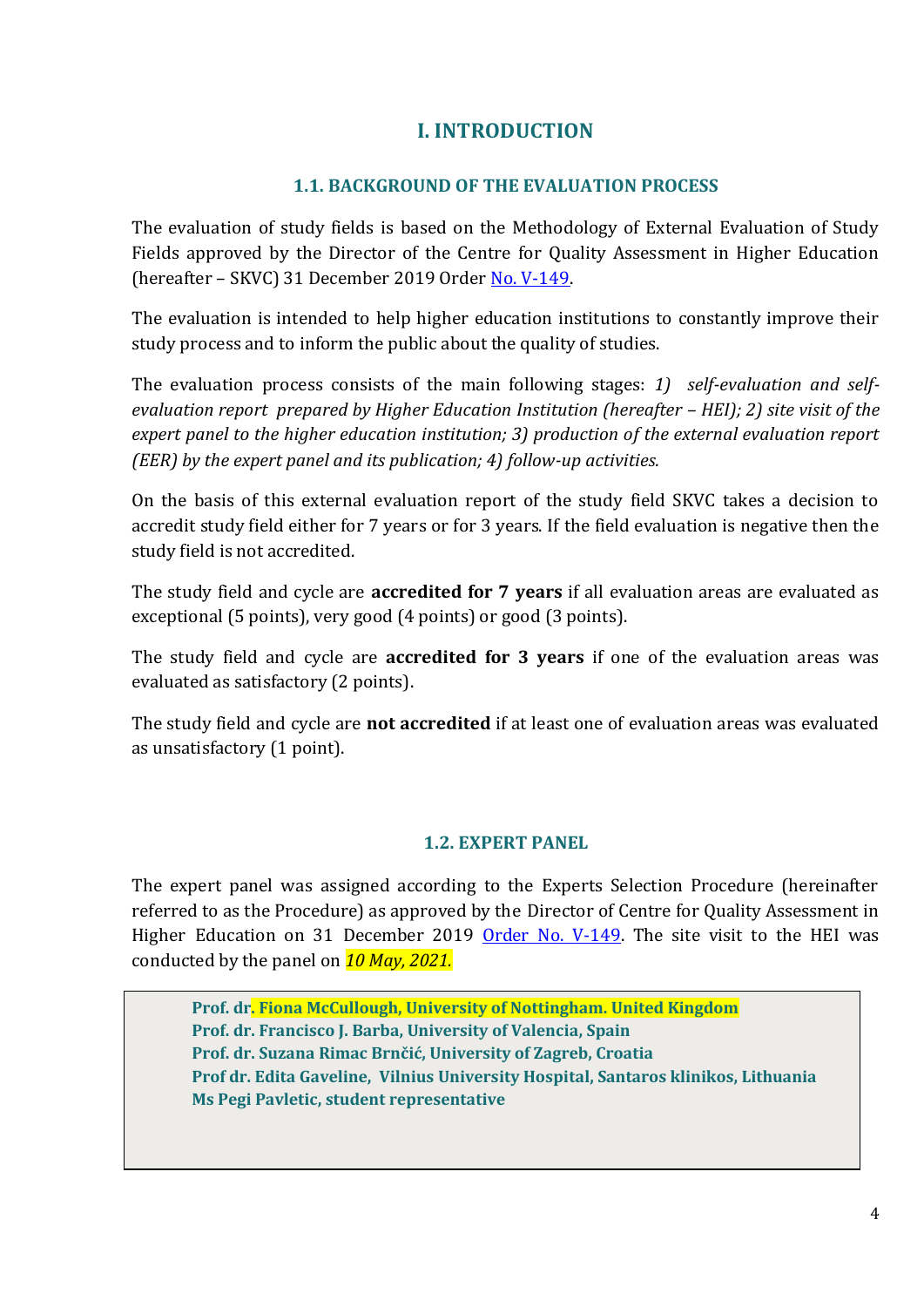# **I. INTRODUCTION**

# **1.1. BACKGROUND OF THE EVALUATION PROCESS**

<span id="page-3-1"></span><span id="page-3-0"></span>The evaluation of study fields is based on the Methodology of External Evaluation of Study Fields approved by the Director of the Centre for Quality Assessment in Higher Education (hereafter – SKVC) 31 December 2019 Order [No. V-149.](https://www.skvc.lt/uploads/lawacts/docs/352_67a9ef6994827300f90385d1fdd321f1.pdf)

The evaluation is intended to help higher education institutions to constantly improve their study process and to inform the public about the quality of studies.

The evaluation process consists of the main following stages: *1) self-evaluation and selfevaluation report prepared by Higher Education Institution (hereafter – HEI); 2) site visit of the expert panel to the higher education institution; 3) production of the external evaluation report (EER) by the expert panel and its publication; 4) follow-up activities.* 

On the basis of this external evaluation report of the study field SKVC takes a decision to accredit study field either for 7 years or for 3 years. If the field evaluation is negative then the study field is not accredited.

The study field and cycle are **accredited for 7 years** if all evaluation areas are evaluated as exceptional (5 points), very good (4 points) or good (3 points).

The study field and cycle are **accredited for 3 years** if one of the evaluation areas was evaluated as satisfactory (2 points).

The study field and cycle are **not accredited** if at least one of evaluation areas was evaluated as unsatisfactory (1 point).

# **1.2. EXPERT PANEL**

<span id="page-3-2"></span>The expert panel was assigned according to the Experts Selection Procedure (hereinafter referred to as the Procedure) as approved by the Director of Centre for Quality Assessment in Higher Education on 31 December 2019 [Order No. V-149.](https://www.skvc.lt/uploads/lawacts/docs/349_3c24730602f3906bb3af174e1e94badb.pdf) The site visit to the HEI was conducted by the panel on *10 May, 2021.*

**Prof. dr. Fiona McCullough, University of Nottingham. United Kingdom Prof. dr. Francisco J. Barba, University of Valencia, Spain Prof. dr. Suzana Rimac Brnčić, University of Zagreb, Croatia Prof dr. Edita Gaveline, Vilnius University Hospital, Santaros klinikos, Lithuania Ms Pegi Pavletic, student representative**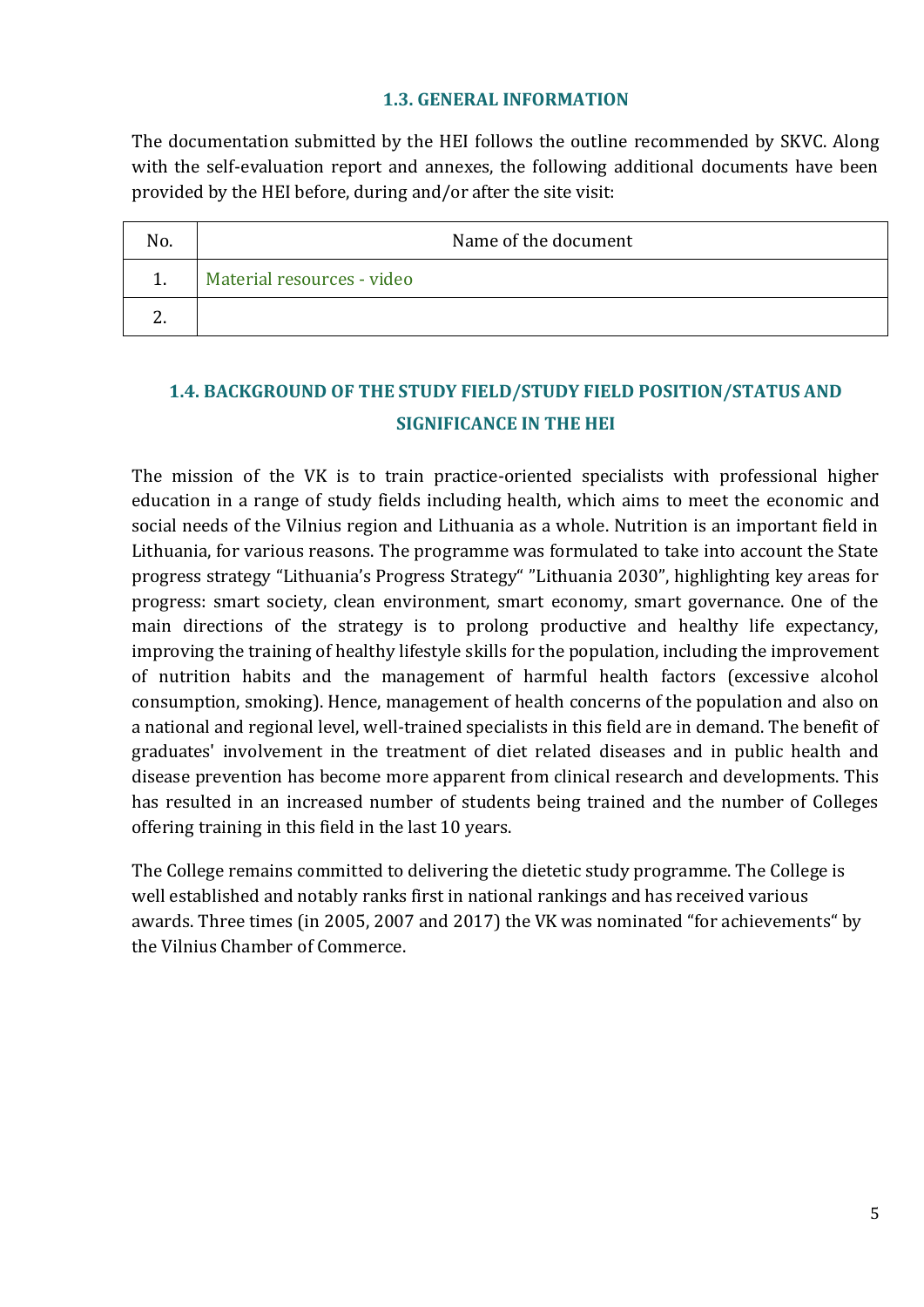#### **1.3. GENERAL INFORMATION**

<span id="page-4-0"></span>The documentation submitted by the HEI follows the outline recommended by SKVC. Along with the self-evaluation report and annexes, the following additional documents have been provided by the HEI before, during and/or after the site visit:

| No. | Name of the document       |
|-----|----------------------------|
|     | Material resources - video |
|     |                            |

# <span id="page-4-1"></span>**1.4. BACKGROUND OF THE STUDY FIELD/STUDY FIELD POSITION/STATUS AND SIGNIFICANCE IN THE HEI**

The mission of the VK is to train practice-oriented specialists with professional higher education in a range of study fields including health, which aims to meet the economic and social needs of the Vilnius region and Lithuania as a whole. Nutrition is an important field in Lithuania, for various reasons. The programme was formulated to take into account the State progress strategy "Lithuania's Progress Strategy" "Lithuania 2030", highlighting key areas for progress: smart society, clean environment, smart economy, smart governance. One of the main directions of the strategy is to prolong productive and healthy life expectancy, improving the training of healthy lifestyle skills for the population, including the improvement of nutrition habits and the management of harmful health factors (excessive alcohol consumption, smoking). Hence, management of health concerns of the population and also on a national and regional level, well-trained specialists in this field are in demand. The benefit of graduates' involvement in the treatment of diet related diseases and in public health and disease prevention has become more apparent from clinical research and developments. This has resulted in an increased number of students being trained and the number of Colleges offering training in this field in the last 10 years.

The College remains committed to delivering the dietetic study programme. The College is well established and notably ranks first in national rankings and has received various awards. Three times (in 2005, 2007 and 2017) the VK was nominated "for achievements" by the Vilnius Chamber of Commerce.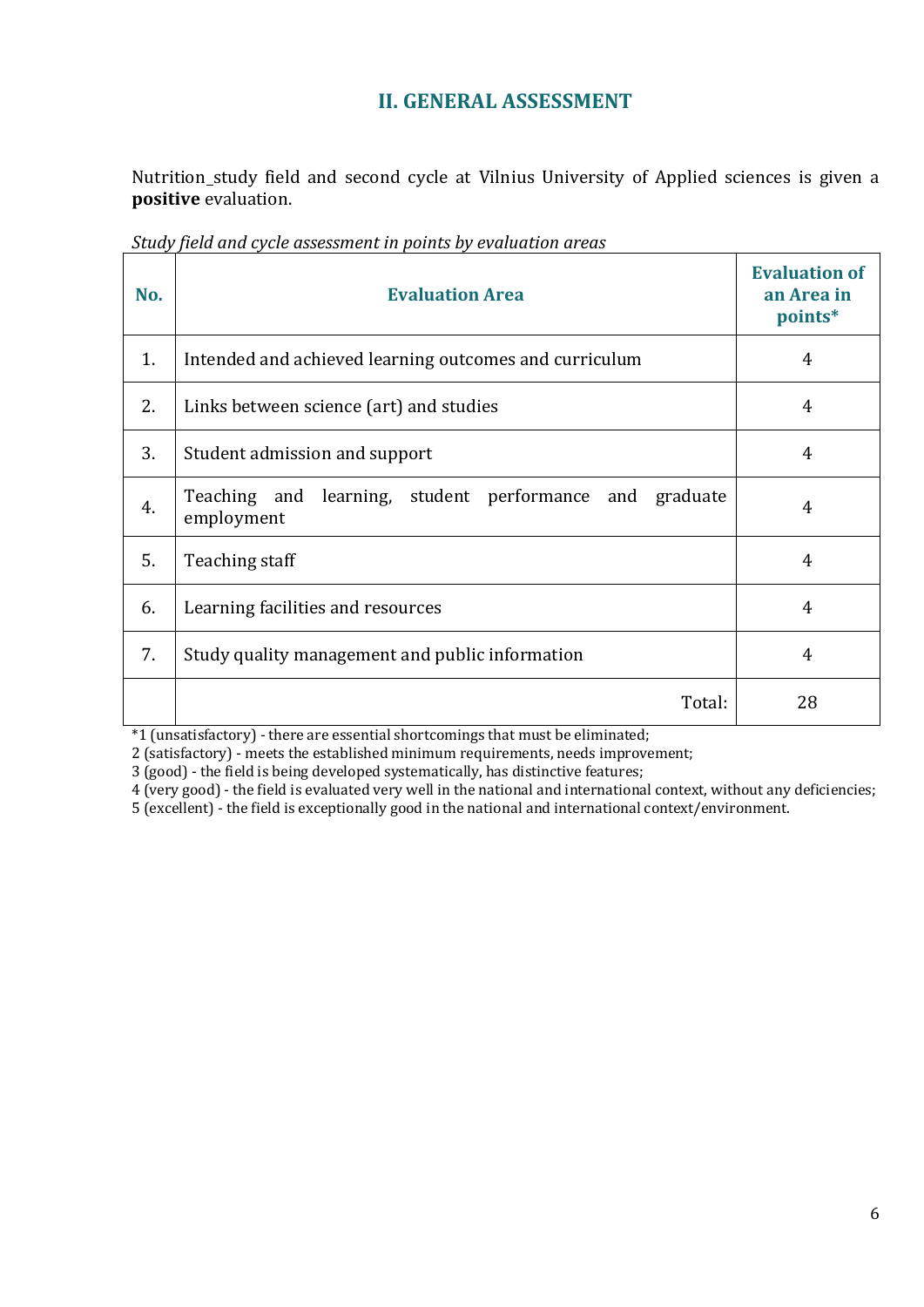# **II. GENERAL ASSESSMENT**

<span id="page-5-0"></span>Nutrition study field and second cycle at Vilnius University of Applied sciences is given a **positive** evaluation.

| No. | <b>Evaluation Area</b>                                                | <b>Evaluation of</b><br>an Area in<br>points* |
|-----|-----------------------------------------------------------------------|-----------------------------------------------|
| 1.  | Intended and achieved learning outcomes and curriculum                | 4                                             |
| 2.  | Links between science (art) and studies                               | 4                                             |
| 3.  | Student admission and support                                         | 4                                             |
| 4.  | Teaching and learning, student performance and graduate<br>employment | 4                                             |
| 5.  | Teaching staff                                                        | 4                                             |
| 6.  | Learning facilities and resources                                     | 4                                             |
| 7.  | Study quality management and public information                       | 4                                             |
|     | Total:                                                                | 28                                            |

*Study field and cycle assessment in points by evaluation areas*

\*1 (unsatisfactory) - there are essential shortcomings that must be eliminated;

2 (satisfactory) - meets the established minimum requirements, needs improvement;

3 (good) - the field is being developed systematically, has distinctive features;

4 (very good) - the field is evaluated very well in the national and international context, without any deficiencies;

5 (excellent) - the field is exceptionally good in the national and international context/environment.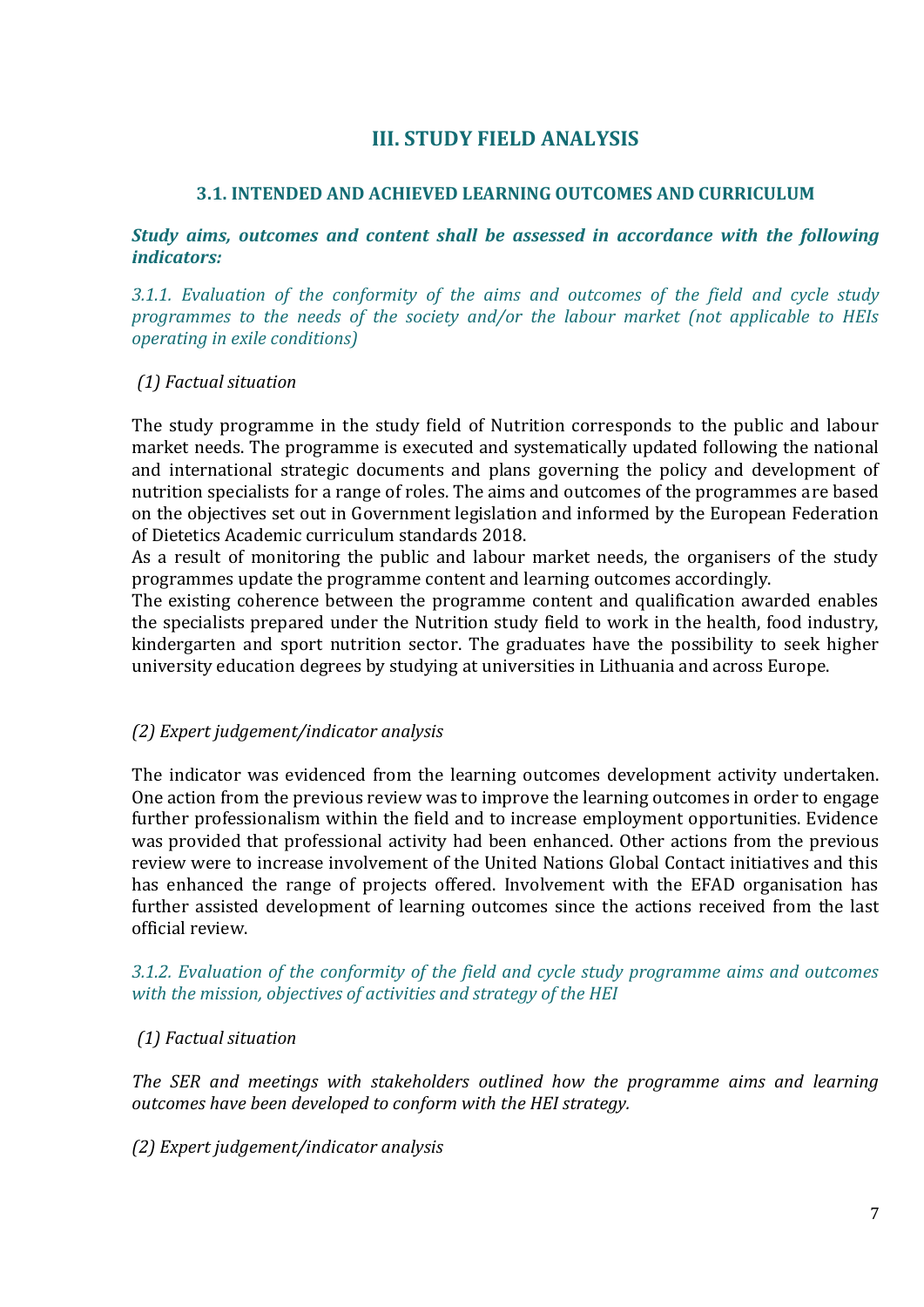# **III. STUDY FIELD ANALYSIS**

### <span id="page-6-0"></span>**3.1. INTENDED AND ACHIEVED LEARNING OUTCOMES AND CURRICULUM**

#### <span id="page-6-1"></span>*Study aims, outcomes and content shall be assessed in accordance with the following indicators:*

*3.1.1. Evaluation of the conformity of the aims and outcomes of the field and cycle study programmes to the needs of the society and/or the labour market (not applicable to HEIs operating in exile conditions)*

#### *(1) Factual situation*

The study programme in the study field of Nutrition corresponds to the public and labour market needs. The programme is executed and systematically updated following the national and international strategic documents and plans governing the policy and development of nutrition specialists for a range of roles. The aims and outcomes of the programmes are based on the objectives set out in Government legislation and informed by the European Federation of Dietetics Academic curriculum standards 2018.

As a result of monitoring the public and labour market needs, the organisers of the study programmes update the programme content and learning outcomes accordingly.

The existing coherence between the programme content and qualification awarded enables the specialists prepared under the Nutrition study field to work in the health, food industry, kindergarten and sport nutrition sector. The graduates have the possibility to seek higher university education degrees by studying at universities in Lithuania and across Europe.

#### *(2) Expert judgement/indicator analysis*

The indicator was evidenced from the learning outcomes development activity undertaken. One action from the previous review was to improve the learning outcomes in order to engage further professionalism within the field and to increase employment opportunities. Evidence was provided that professional activity had been enhanced. Other actions from the previous review were to increase involvement of the United Nations Global Contact initiatives and this has enhanced the range of projects offered. Involvement with the EFAD organisation has further assisted development of learning outcomes since the actions received from the last official review.

#### *3.1.2. Evaluation of the conformity of the field and cycle study programme aims and outcomes with the mission, objectives of activities and strategy of the HEI*

# *(1) Factual situation*

*The SER and meetings with stakeholders outlined how the programme aims and learning outcomes have been developed to conform with the HEI strategy.*

#### *(2) Expert judgement/indicator analysis*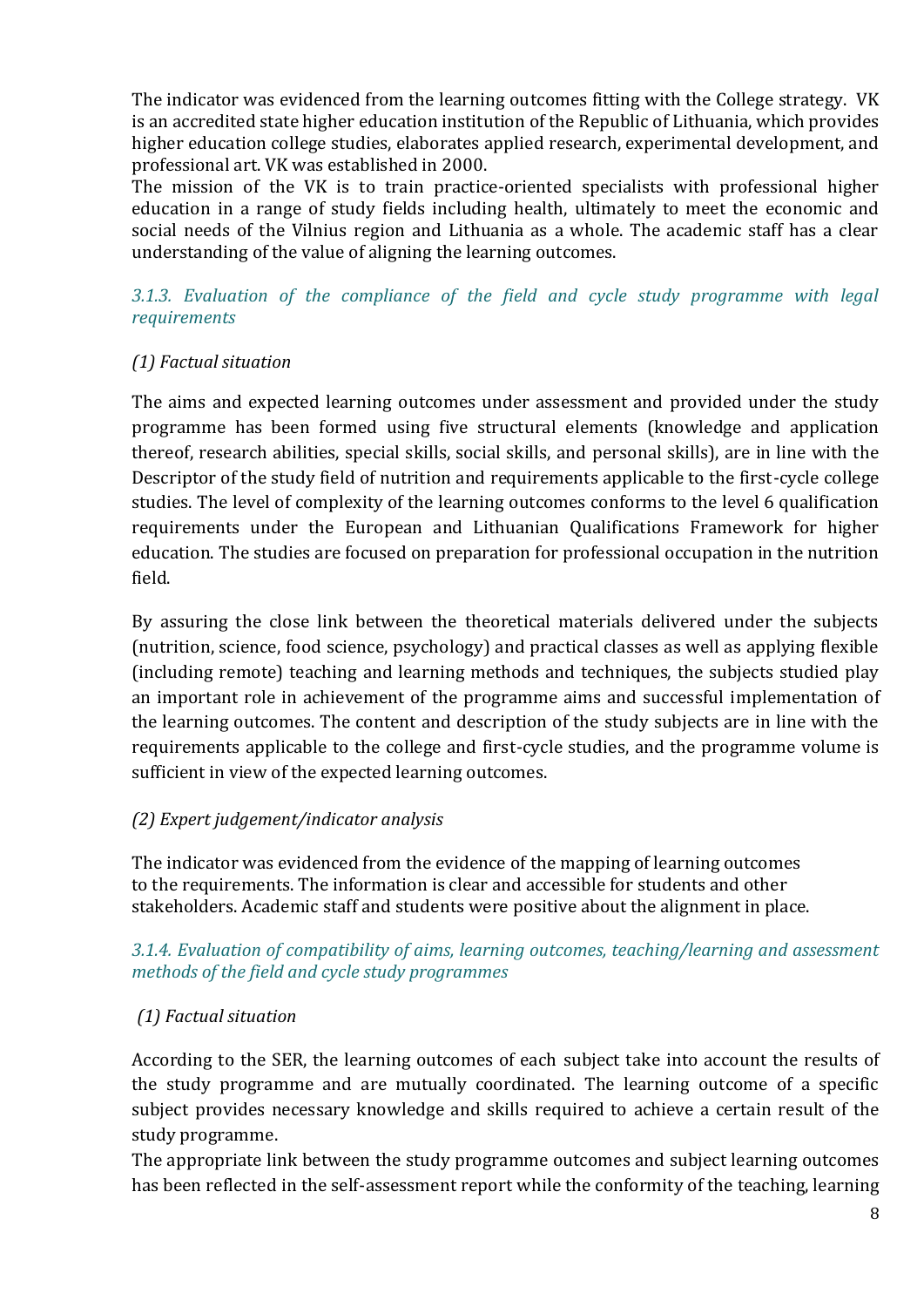The indicator was evidenced from the learning outcomes fitting with the College strategy. VK is an accredited state higher education institution of the Republic of Lithuania, which provides higher education college studies, elaborates applied research, experimental development, and professional art. VK was established in 2000.

The mission of the VK is to train practice-oriented specialists with professional higher education in a range of study fields including health, ultimately to meet the economic and social needs of the Vilnius region and Lithuania as a whole. The academic staff has a clear understanding of the value of aligning the learning outcomes.

*3.1.3. Evaluation of the compliance of the field and cycle study programme with legal requirements*

# *(1) Factual situation*

The aims and expected learning outcomes under assessment and provided under the study programme has been formed using five structural elements (knowledge and application thereof, research abilities, special skills, social skills, and personal skills), are in line with the Descriptor of the study field of nutrition and requirements applicable to the first-cycle college studies. The level of complexity of the learning outcomes conforms to the level 6 qualification requirements under the European and Lithuanian Qualifications Framework for higher education. The studies are focused on preparation for professional occupation in the nutrition field.

By assuring the close link between the theoretical materials delivered under the subjects (nutrition, science, food science, psychology) and practical classes as well as applying flexible (including remote) teaching and learning methods and techniques, the subjects studied play an important role in achievement of the programme aims and successful implementation of the learning outcomes. The content and description of the study subjects are in line with the requirements applicable to the college and first-cycle studies, and the programme volume is sufficient in view of the expected learning outcomes.

# *(2) Expert judgement/indicator analysis*

The indicator was evidenced from the evidence of the mapping of learning outcomes to the requirements. The information is clear and accessible for students and other stakeholders. Academic staff and students were positive about the alignment in place.

#### *3.1.4. Evaluation of compatibility of aims, learning outcomes, teaching/learning and assessment methods of the field and cycle study programmes*

# *(1) Factual situation*

According to the SER, the learning outcomes of each subject take into account the results of the study programme and are mutually coordinated. The learning outcome of a specific subject provides necessary knowledge and skills required to achieve a certain result of the study programme.

The appropriate link between the study programme outcomes and subject learning outcomes has been reflected in the self-assessment report while the conformity of the teaching, learning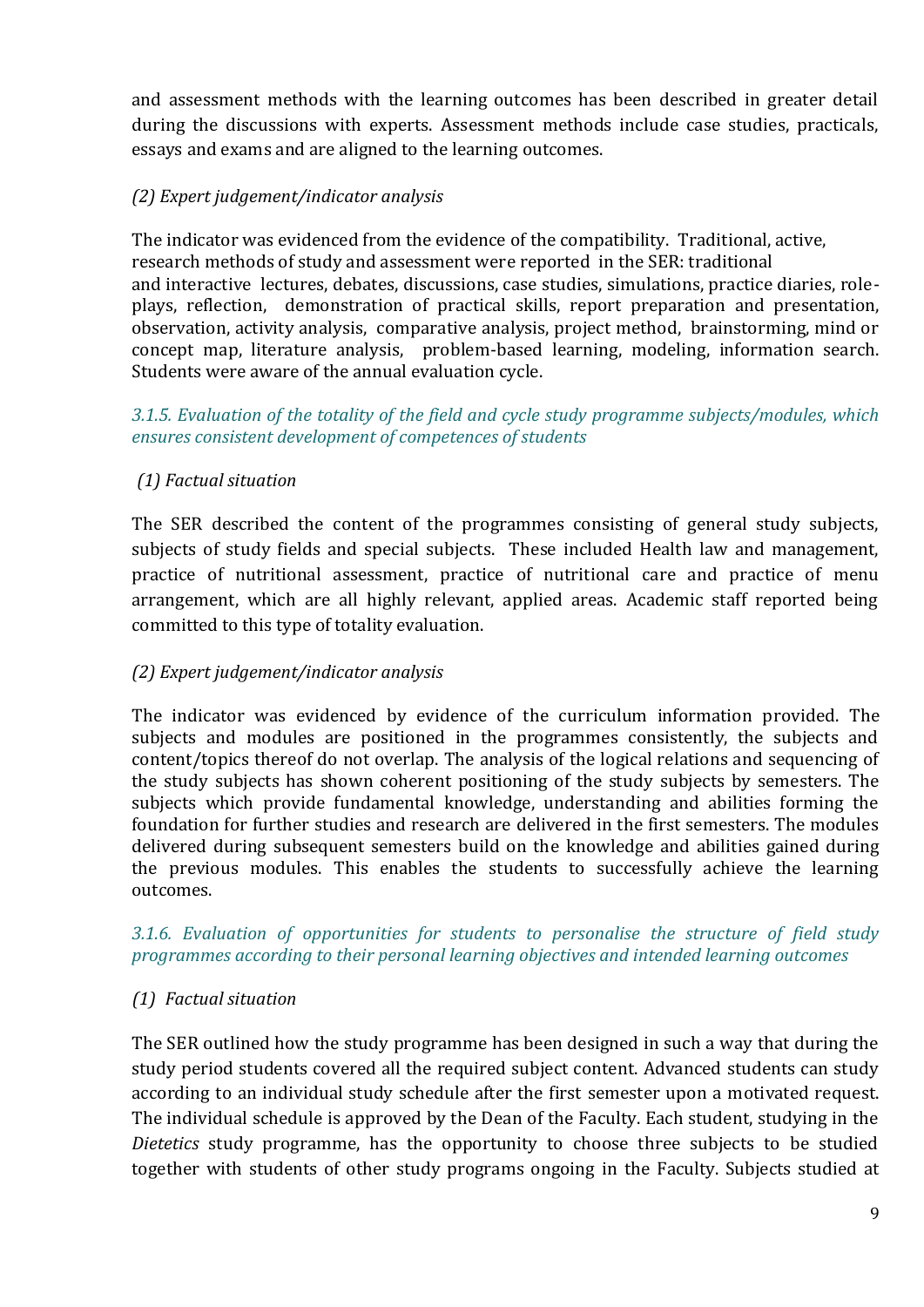and assessment methods with the learning outcomes has been described in greater detail during the discussions with experts. Assessment methods include case studies, practicals, essays and exams and are aligned to the learning outcomes.

# *(2) Expert judgement/indicator analysis*

The indicator was evidenced from the evidence of the compatibility. Traditional, active, research methods of study and assessment were reported in the SER: traditional and interactive lectures, debates, discussions, case studies, simulations, practice diaries, roleplays, reflection, demonstration of practical skills, report preparation and presentation, observation, activity analysis, comparative analysis, project method, brainstorming, mind or concept map, literature analysis, problem-based learning, modeling, information search. Students were aware of the annual evaluation cycle.

*3.1.5. Evaluation of the totality of the field and cycle study programme subjects/modules, which ensures consistent development of competences of students*

# *(1) Factual situation*

The SER described the content of the programmes consisting of general study subjects, subjects of study fields and special subjects. These included Health law and management, practice of nutritional assessment, practice of nutritional care and practice of menu arrangement, which are all highly relevant, applied areas. Academic staff reported being committed to this type of totality evaluation.

# *(2) Expert judgement/indicator analysis*

The indicator was evidenced by evidence of the curriculum information provided. The subjects and modules are positioned in the programmes consistently, the subjects and content/topics thereof do not overlap. The analysis of the logical relations and sequencing of the study subjects has shown coherent positioning of the study subjects by semesters. The subjects which provide fundamental knowledge, understanding and abilities forming the foundation for further studies and research are delivered in the first semesters. The modules delivered during subsequent semesters build on the knowledge and abilities gained during the previous modules. This enables the students to successfully achieve the learning outcomes.

#### *3.1.6. Evaluation of opportunities for students to personalise the structure of field study programmes according to their personal learning objectives and intended learning outcomes*

# *(1) Factual situation*

The SER outlined how the study programme has been designed in such a way that during the study period students covered all the required subject content. Advanced students can study according to an individual study schedule after the first semester upon a motivated request. The individual schedule is approved by the Dean of the Faculty. Each student, studying in the *Dietetics* study programme, has the opportunity to choose three subjects to be studied together with students of other study programs ongoing in the Faculty. Subjects studied at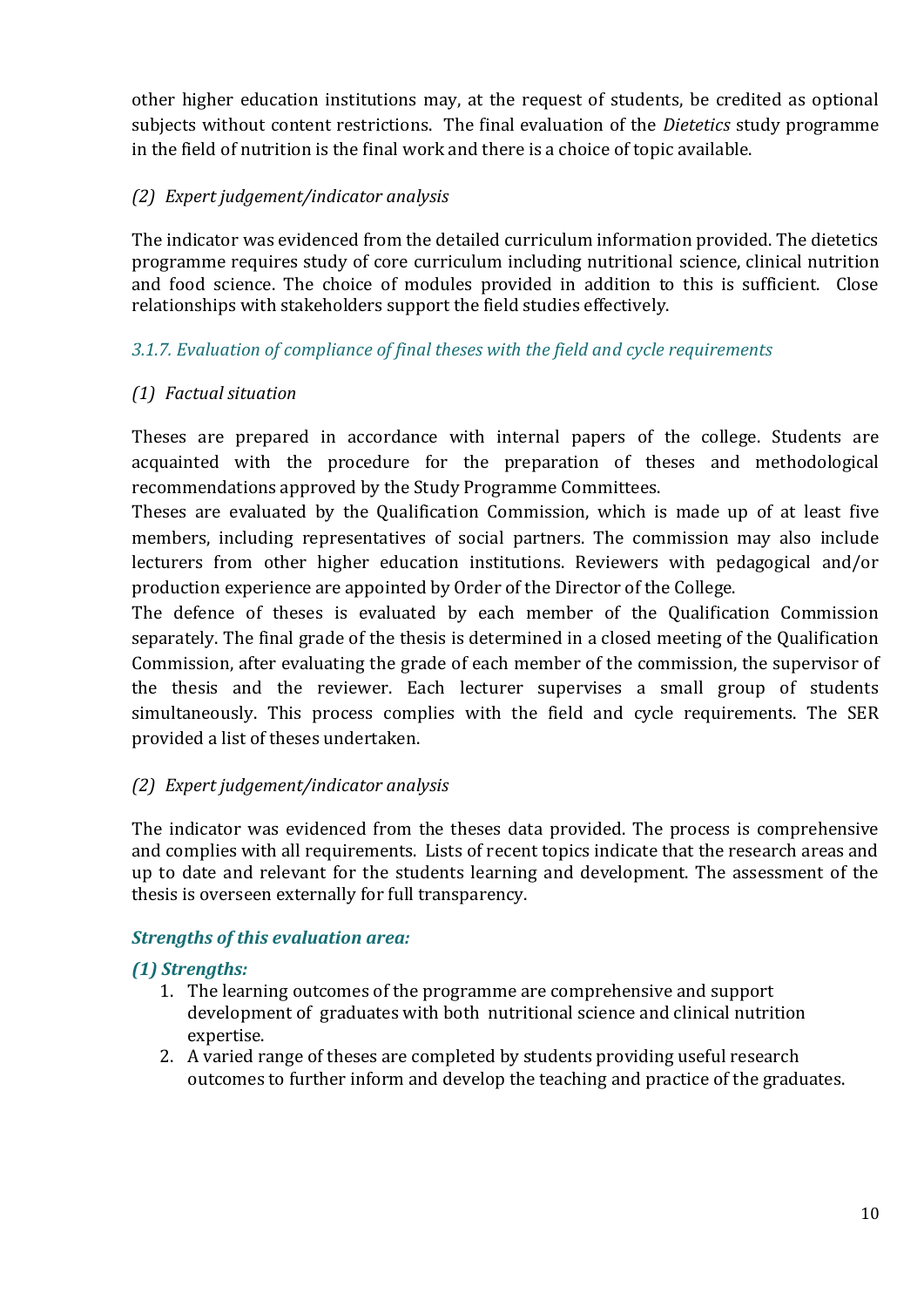other higher education institutions may, at the request of students, be credited as optional subjects without content restrictions. The final evaluation of the *Dietetics* study programme in the field of nutrition is the final work and there is a choice of topic available.

# *(2) Expert judgement/indicator analysis*

The indicator was evidenced from the detailed curriculum information provided. The dietetics programme requires study of core curriculum including nutritional science, clinical nutrition and food science. The choice of modules provided in addition to this is sufficient. Close relationships with stakeholders support the field studies effectively.

# *3.1.7. Evaluation of compliance of final theses with the field and cycle requirements*

# *(1) Factual situation*

Theses are prepared in accordance with internal papers of the college. Students are acquainted with the procedure for the preparation of theses and methodological recommendations approved by the Study Programme Committees.

Theses are evaluated by the Qualification Commission, which is made up of at least five members, including representatives of social partners. The commission may also include lecturers from other higher education institutions. Reviewers with pedagogical and/or production experience are appointed by Order of the Director of the College.

The defence of theses is evaluated by each member of the Qualification Commission separately. The final grade of the thesis is determined in a closed meeting of the Qualification Commission, after evaluating the grade of each member of the commission, the supervisor of the thesis and the reviewer. Each lecturer supervises a small group of students simultaneously. This process complies with the field and cycle requirements. The SER provided a list of theses undertaken.

# *(2) Expert judgement/indicator analysis*

The indicator was evidenced from the theses data provided. The process is comprehensive and complies with all requirements. Lists of recent topics indicate that the research areas and up to date and relevant for the students learning and development. The assessment of the thesis is overseen externally for full transparency.

# *Strengths of this evaluation area:*

# *(1) Strengths:*

- 1. The learning outcomes of the programme are comprehensive and support development of graduates with both nutritional science and clinical nutrition expertise.
- 2. A varied range of theses are completed by students providing useful research outcomes to further inform and develop the teaching and practice of the graduates.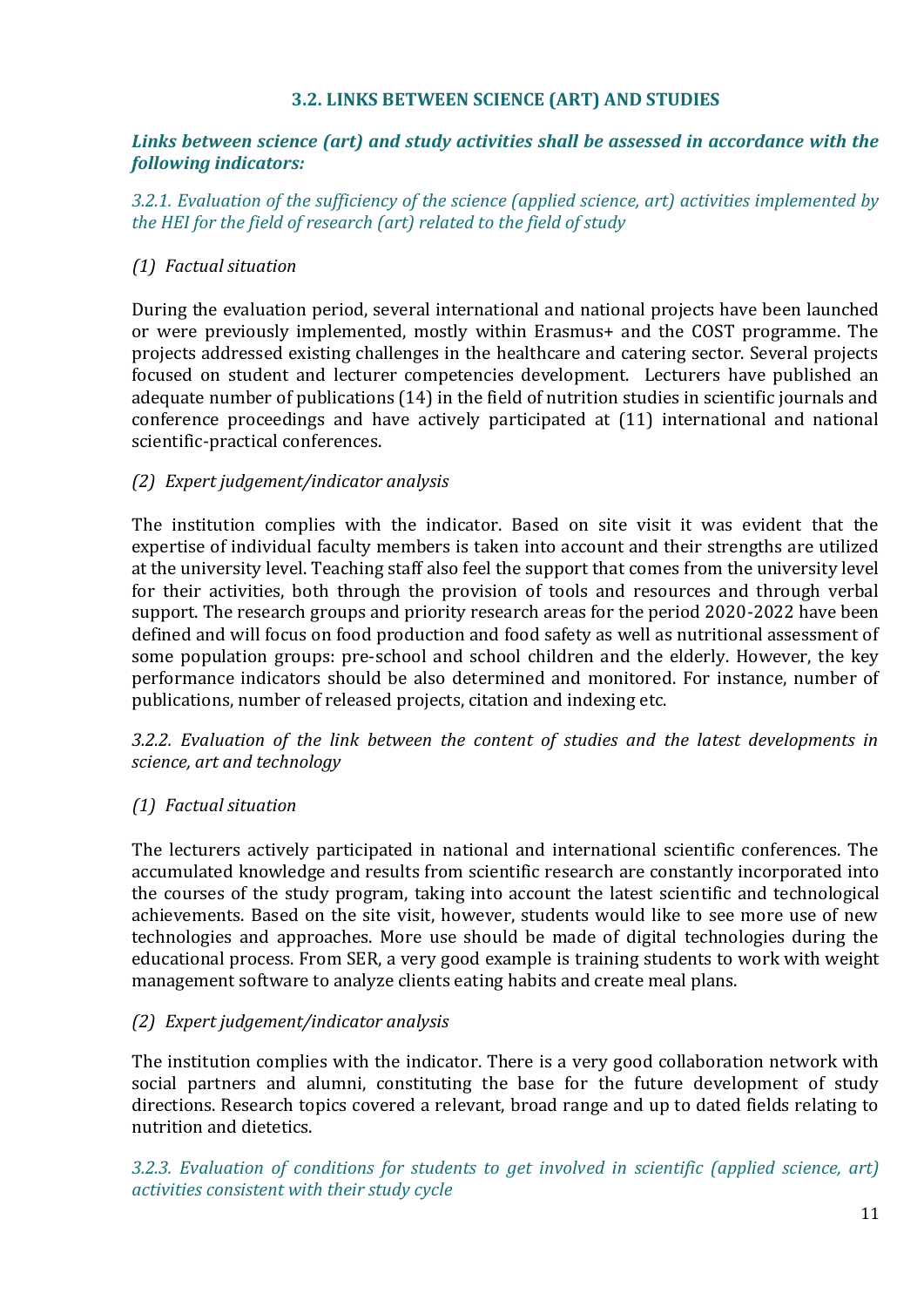#### **3.2. LINKS BETWEEN SCIENCE (ART) AND STUDIES**

#### <span id="page-10-0"></span>*Links between science (art) and study activities shall be assessed in accordance with the following indicators:*

*3.2.1. Evaluation of the sufficiency of the science (applied science, art) activities implemented by the HEI for the field of research (art) related to the field of study*

### *(1) Factual situation*

During the evaluation period, several international and national projects have been launched or were previously implemented, mostly within Erasmus+ and the COST programme. The projects addressed existing challenges in the healthcare and catering sector. Several projects focused on student and lecturer competencies development. Lecturers have published an adequate number of publications (14) in the field of nutrition studies in scientific journals and conference proceedings and have actively participated at (11) international and national scientific-practical conferences.

#### *(2) Expert judgement/indicator analysis*

The institution complies with the indicator. Based on site visit it was evident that the expertise of individual faculty members is taken into account and their strengths are utilized at the university level. Teaching staff also feel the support that comes from the university level for their activities, both through the provision of tools and resources and through verbal support. The research groups and priority research areas for the period 2020-2022 have been defined and will focus on food production and food safety as well as nutritional assessment of some population groups: pre-school and school children and the elderly. However, the key performance indicators should be also determined and monitored. For instance, number of publications, number of released projects, citation and indexing etc.

*3.2.2. Evaluation of the link between the content of studies and the latest developments in science, art and technology*

# *(1) Factual situation*

The lecturers actively participated in national and international scientific conferences. The accumulated knowledge and results from scientific research are constantly incorporated into the courses of the study program, taking into account the latest scientific and technological achievements. Based on the site visit, however, students would like to see more use of new technologies and approaches. More use should be made of digital technologies during the educational process. From SER, a very good example is training students to work with weight management software to analyze clients eating habits and create meal plans.

#### *(2) Expert judgement/indicator analysis*

The institution complies with the indicator. There is a very good collaboration network with social partners and alumni, constituting the base for the future development of study directions. Research topics covered a relevant, broad range and up to dated fields relating to nutrition and dietetics.

*3.2.3. Evaluation of conditions for students to get involved in scientific (applied science, art) activities consistent with their study cycle*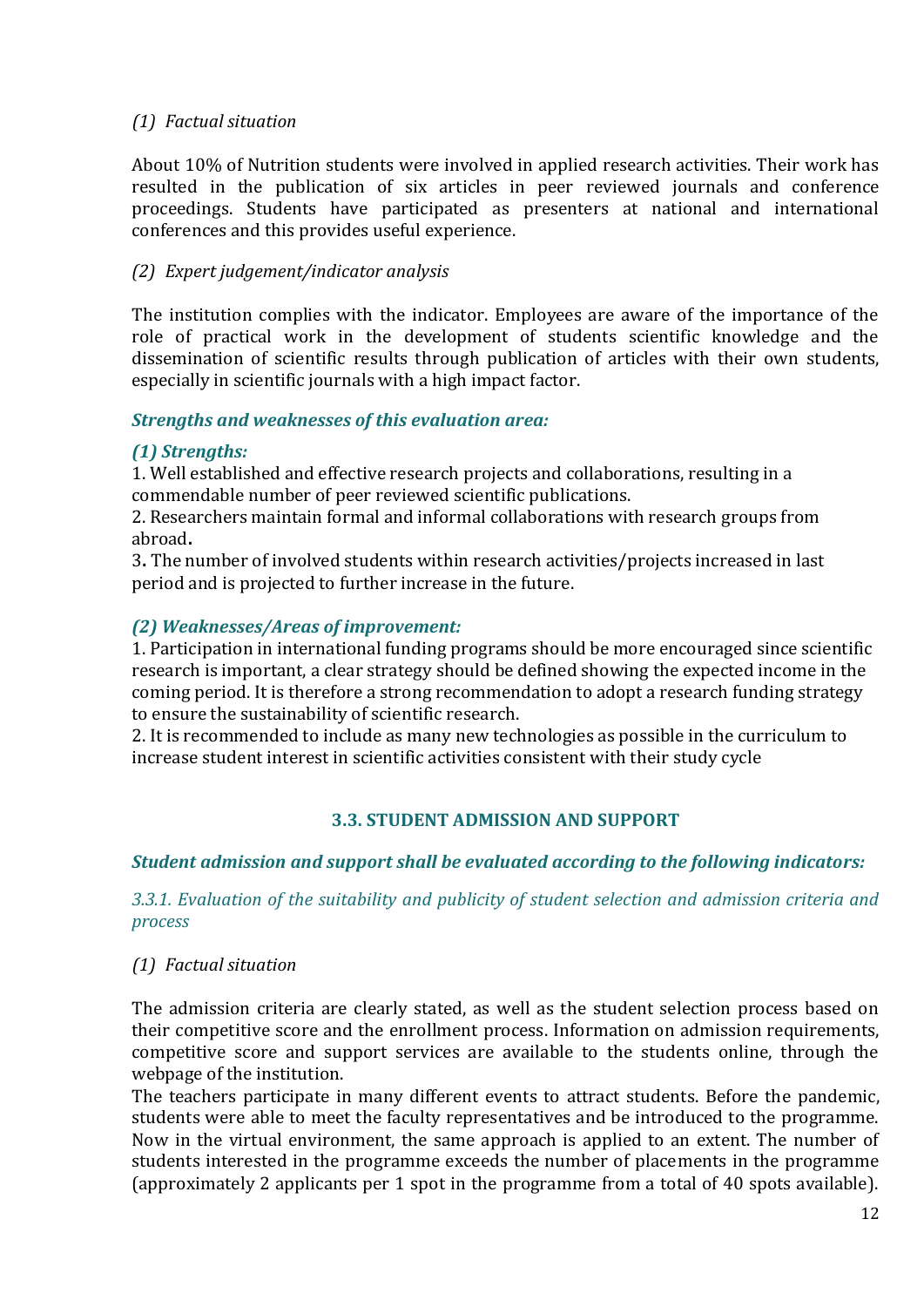#### *(1) Factual situation*

About 10% of Nutrition students were involved in applied research activities. Their work has resulted in the publication of six articles in peer reviewed journals and conference proceedings. Students have participated as presenters at national and international conferences and this provides useful experience.

### *(2) Expert judgement/indicator analysis*

The institution complies with the indicator. Employees are aware of the importance of the role of practical work in the development of students scientific knowledge and the dissemination of scientific results through publication of articles with their own students, especially in scientific journals with a high impact factor.

#### *Strengths and weaknesses of this evaluation area:*

#### *(1) Strengths:*

1. Well established and effective research projects and collaborations, resulting in a commendable number of peer reviewed scientific publications.

2. Researchers maintain formal and informal collaborations with research groups from abroad**.**

3**.** The number of involved students within research activities/projects increased in last period and is projected to further increase in the future.

#### *(2) Weaknesses/Areas of improvement:*

1. Participation in international funding programs should be more encouraged since scientific research is important, a clear strategy should be defined showing the expected income in the coming period. It is therefore a strong recommendation to adopt a research funding strategy to ensure the sustainability of scientific research.

2. It is recommended to include as many new technologies as possible in the curriculum to increase student interest in scientific activities consistent with their study cycle

# **3.3. STUDENT ADMISSION AND SUPPORT**

#### <span id="page-11-0"></span>*Student admission and support shall be evaluated according to the following indicators:*

*3.3.1. Evaluation of the suitability and publicity of student selection and admission criteria and process*

#### *(1) Factual situation*

The admission criteria are clearly stated, as well as the student selection process based on their competitive score and the enrollment process. Information on admission requirements, competitive score and support services are available to the students online, through the webpage of the institution.

The teachers participate in many different events to attract students. Before the pandemic, students were able to meet the faculty representatives and be introduced to the programme. Now in the virtual environment, the same approach is applied to an extent. The number of students interested in the programme exceeds the number of placements in the programme (approximately 2 applicants per 1 spot in the programme from a total of 40 spots available).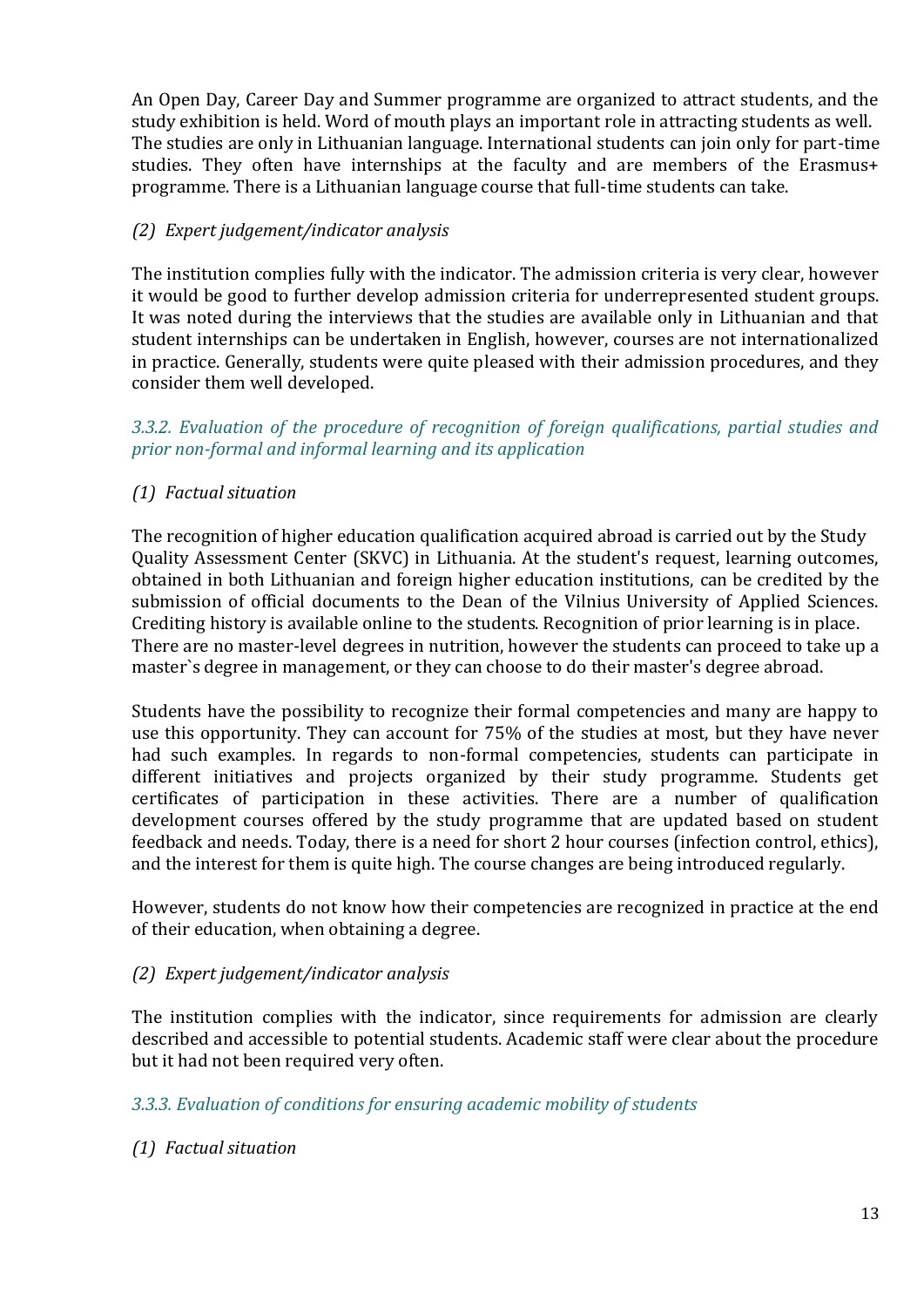An Open Day, Career Day and Summer programme are organized to attract students, and the study exhibition is held. Word of mouth plays an important role in attracting students as well. The studies are only in Lithuanian language. International students can join only for part-time studies. They often have internships at the faculty and are members of the Erasmus+ programme. There is a Lithuanian language course that full-time students can take.

# *(2) Expert judgement/indicator analysis*

The institution complies fully with the indicator. The admission criteria is very clear, however it would be good to further develop admission criteria for underrepresented student groups. It was noted during the interviews that the studies are available only in Lithuanian and that student internships can be undertaken in English, however, courses are not internationalized in practice. Generally, students were quite pleased with their admission procedures, and they consider them well developed.

#### *3.3.2. Evaluation of the procedure of recognition of foreign qualifications, partial studies and prior non-formal and informal learning and its application*

# *(1) Factual situation*

The recognition of higher education qualification acquired abroad is carried out by the Study Quality Assessment Center (SKVC) in Lithuania. At the student's request, learning outcomes, obtained in both Lithuanian and foreign higher education institutions, can be credited by the submission of official documents to the Dean of the Vilnius University of Applied Sciences. Crediting history is available online to the students. Recognition of prior learning is in place. There are no master-level degrees in nutrition, however the students can proceed to take up a master`s degree in management, or they can choose to do their master's degree abroad.

Students have the possibility to recognize their formal competencies and many are happy to use this opportunity. They can account for 75% of the studies at most, but they have never had such examples. In regards to non-formal competencies, students can participate in different initiatives and projects organized by their study programme. Students get certificates of participation in these activities. There are a number of qualification development courses offered by the study programme that are updated based on student feedback and needs. Today, there is a need for short 2 hour courses (infection control, ethics), and the interest for them is quite high. The course changes are being introduced regularly.

However, students do not know how their competencies are recognized in practice at the end of their education, when obtaining a degree.

#### *(2) Expert judgement/indicator analysis*

The institution complies with the indicator, since requirements for admission are clearly described and accessible to potential students. Academic staff were clear about the procedure but it had not been required very often.

#### *3.3.3. Evaluation of conditions for ensuring academic mobility of students*

# *(1) Factual situation*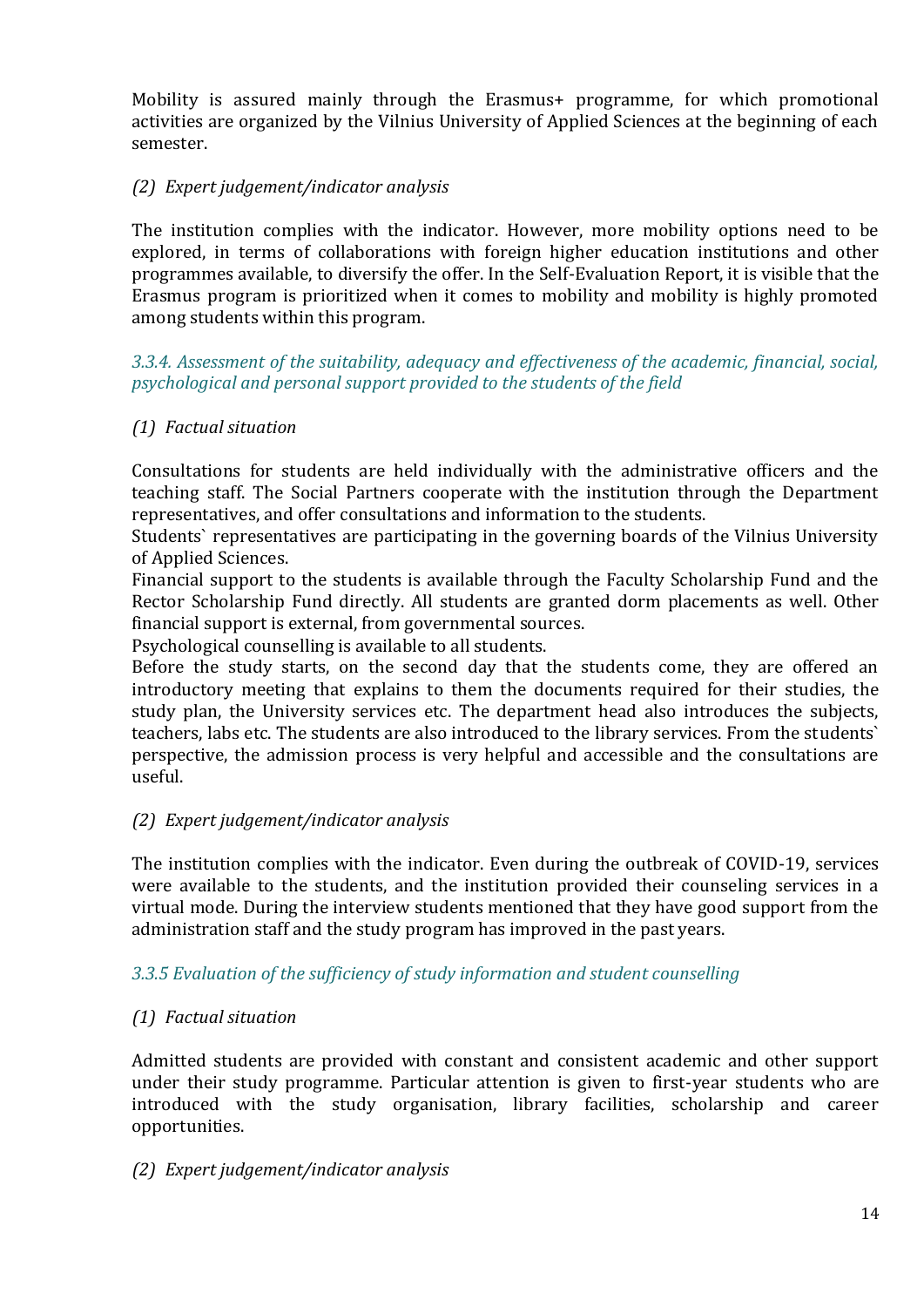Mobility is assured mainly through the Erasmus+ programme, for which promotional activities are organized by the Vilnius University of Applied Sciences at the beginning of each semester.

### *(2) Expert judgement/indicator analysis*

The institution complies with the indicator. However, more mobility options need to be explored, in terms of collaborations with foreign higher education institutions and other programmes available, to diversify the offer. In the Self-Evaluation Report, it is visible that the Erasmus program is prioritized when it comes to mobility and mobility is highly promoted among students within this program.

*3.3.4. Assessment of the suitability, adequacy and effectiveness of the academic, financial, social, psychological and personal support provided to the students of the field*

#### *(1) Factual situation*

Consultations for students are held individually with the administrative officers and the teaching staff. The Social Partners cooperate with the institution through the Department representatives, and offer consultations and information to the students.

Students` representatives are participating in the governing boards of the Vilnius University of Applied Sciences.

Financial support to the students is available through the Faculty Scholarship Fund and the Rector Scholarship Fund directly. All students are granted dorm placements as well. Other financial support is external, from governmental sources.

Psychological counselling is available to all students.

Before the study starts, on the second day that the students come, they are offered an introductory meeting that explains to them the documents required for their studies, the study plan, the University services etc. The department head also introduces the subjects, teachers, labs etc. The students are also introduced to the library services. From the students` perspective, the admission process is very helpful and accessible and the consultations are useful.

#### *(2) Expert judgement/indicator analysis*

The institution complies with the indicator. Even during the outbreak of COVID-19, services were available to the students, and the institution provided their counseling services in a virtual mode. During the interview students mentioned that they have good support from the administration staff and the study program has improved in the past years.

#### *3.3.5 Evaluation of the sufficiency of study information and student counselling*

#### *(1) Factual situation*

Admitted students are provided with constant and consistent academic and other support under their study programme. Particular attention is given to first-year students who are introduced with the study organisation, library facilities, scholarship and career opportunities.

#### *(2) Expert judgement/indicator analysis*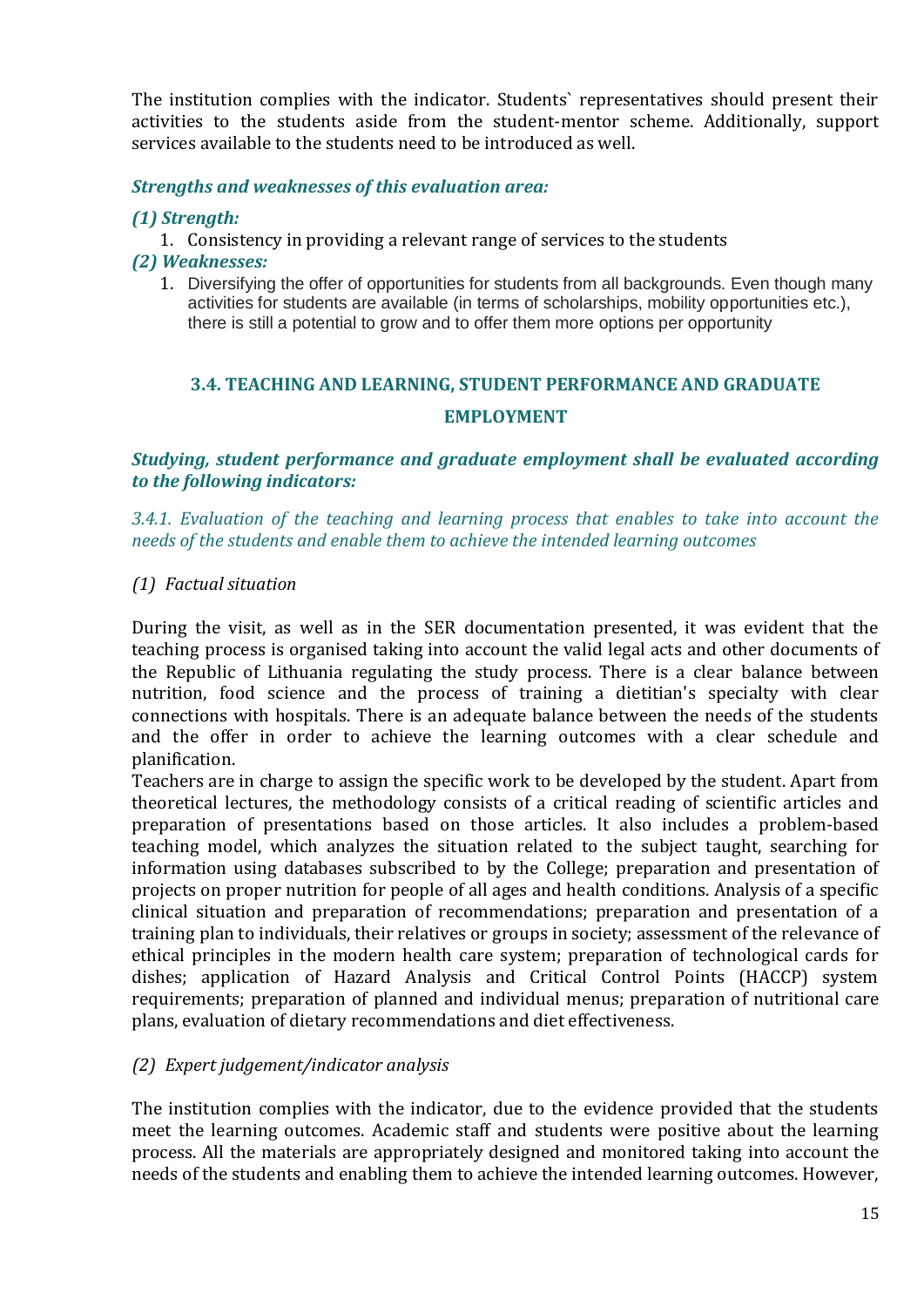The institution complies with the indicator. Students` representatives should present their activities to the students aside from the student-mentor scheme. Additionally, support services available to the students need to be introduced as well.

#### *Strengths and weaknesses of this evaluation area:*

#### *(1) Strength:*

- 1. Consistency in providing a relevant range of services to the students
- *(2) Weaknesses:* 
	- 1. Diversifying the offer of opportunities for students from all backgrounds. Even though many activities for students are available (in terms of scholarships, mobility opportunities etc.), there is still a potential to grow and to offer them more options per opportunity

# <span id="page-14-0"></span>**3.4. TEACHING AND LEARNING, STUDENT PERFORMANCE AND GRADUATE EMPLOYMENT**

#### *Studying, student performance and graduate employment shall be evaluated according to the following indicators:*

*3.4.1. Evaluation of the teaching and learning process that enables to take into account the needs of the students and enable them to achieve the intended learning outcomes*

#### *(1) Factual situation*

During the visit, as well as in the SER documentation presented, it was evident that the teaching process is organised taking into account the valid legal acts and other documents of the Republic of Lithuania regulating the study process. There is a clear balance between nutrition, food science and the process of training a dietitian's specialty with clear connections with hospitals. There is an adequate balance between the needs of the students and the offer in order to achieve the learning outcomes with a clear schedule and planification.

Teachers are in charge to assign the specific work to be developed by the student. Apart from theoretical lectures, the methodology consists of a critical reading of scientific articles and preparation of presentations based on those articles. It also includes a problem-based teaching model, which analyzes the situation related to the subject taught, searching for information using databases subscribed to by the College; preparation and presentation of projects on proper nutrition for people of all ages and health conditions. Analysis of a specific clinical situation and preparation of recommendations; preparation and presentation of a training plan to individuals, their relatives or groups in society; assessment of the relevance of ethical principles in the modern health care system; preparation of technological cards for dishes; application of Hazard Analysis and Critical Control Points (HACCP) system requirements; preparation of planned and individual menus; preparation of nutritional care plans, evaluation of dietary recommendations and diet effectiveness.

#### *(2) Expert judgement/indicator analysis*

The institution complies with the indicator, due to the evidence provided that the students meet the learning outcomes. Academic staff and students were positive about the learning process. All the materials are appropriately designed and monitored taking into account the needs of the students and enabling them to achieve the intended learning outcomes. However,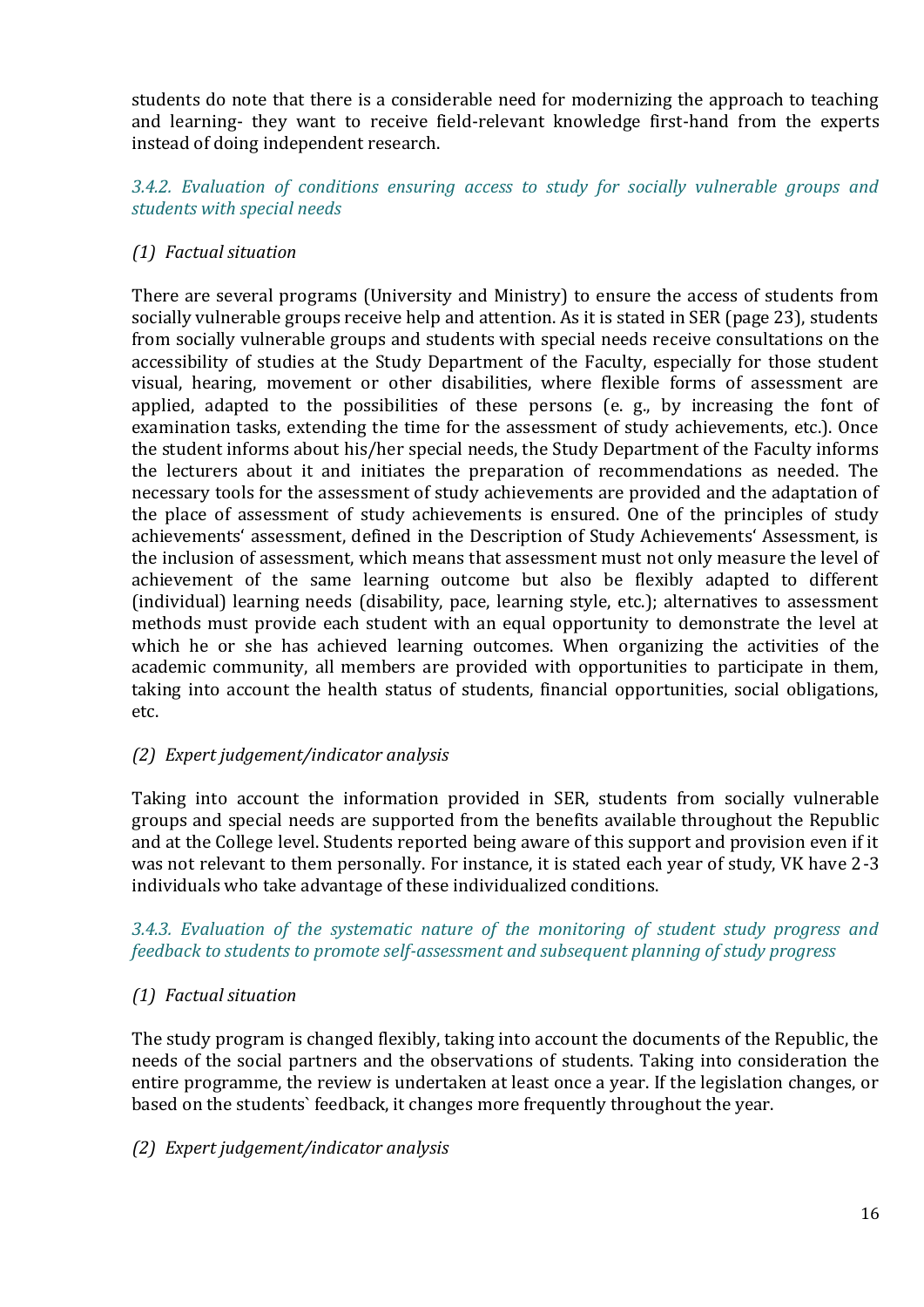students do note that there is a considerable need for modernizing the approach to teaching and learning- they want to receive field-relevant knowledge first-hand from the experts instead of doing independent research.

*3.4.2. Evaluation of conditions ensuring access to study for socially vulnerable groups and students with special needs*

# *(1) Factual situation*

There are several programs (University and Ministry) to ensure the access of students from socially vulnerable groups receive help and attention. As it is stated in SER (page 23), students from socially vulnerable groups and students with special needs receive consultations on the accessibility of studies at the Study Department of the Faculty, especially for those student visual, hearing, movement or other disabilities, where flexible forms of assessment are applied, adapted to the possibilities of these persons (e. g., by increasing the font of examination tasks, extending the time for the assessment of study achievements, etc.). Once the student informs about his/her special needs, the Study Department of the Faculty informs the lecturers about it and initiates the preparation of recommendations as needed. The necessary tools for the assessment of study achievements are provided and the adaptation of the place of assessment of study achievements is ensured. One of the principles of study achievements' assessment, defined in the Description of Study Achievements' Assessment, is the inclusion of assessment, which means that assessment must not only measure the level of achievement of the same learning outcome but also be flexibly adapted to different (individual) learning needs (disability, pace, learning style, etc.); alternatives to assessment methods must provide each student with an equal opportunity to demonstrate the level at which he or she has achieved learning outcomes. When organizing the activities of the academic community, all members are provided with opportunities to participate in them, taking into account the health status of students, financial opportunities, social obligations, etc.

# *(2) Expert judgement/indicator analysis*

Taking into account the information provided in SER, students from socially vulnerable groups and special needs are supported from the benefits available throughout the Republic and at the College level. Students reported being aware of this support and provision even if it was not relevant to them personally. For instance, it is stated each year of study, VK have 2-3 individuals who take advantage of these individualized conditions.

*3.4.3. Evaluation of the systematic nature of the monitoring of student study progress and feedback to students to promote self-assessment and subsequent planning of study progress*

# *(1) Factual situation*

The study program is changed flexibly, taking into account the documents of the Republic, the needs of the social partners and the observations of students. Taking into consideration the entire programme, the review is undertaken at least once a year. If the legislation changes, or based on the students` feedback, it changes more frequently throughout the year.

#### *(2) Expert judgement/indicator analysis*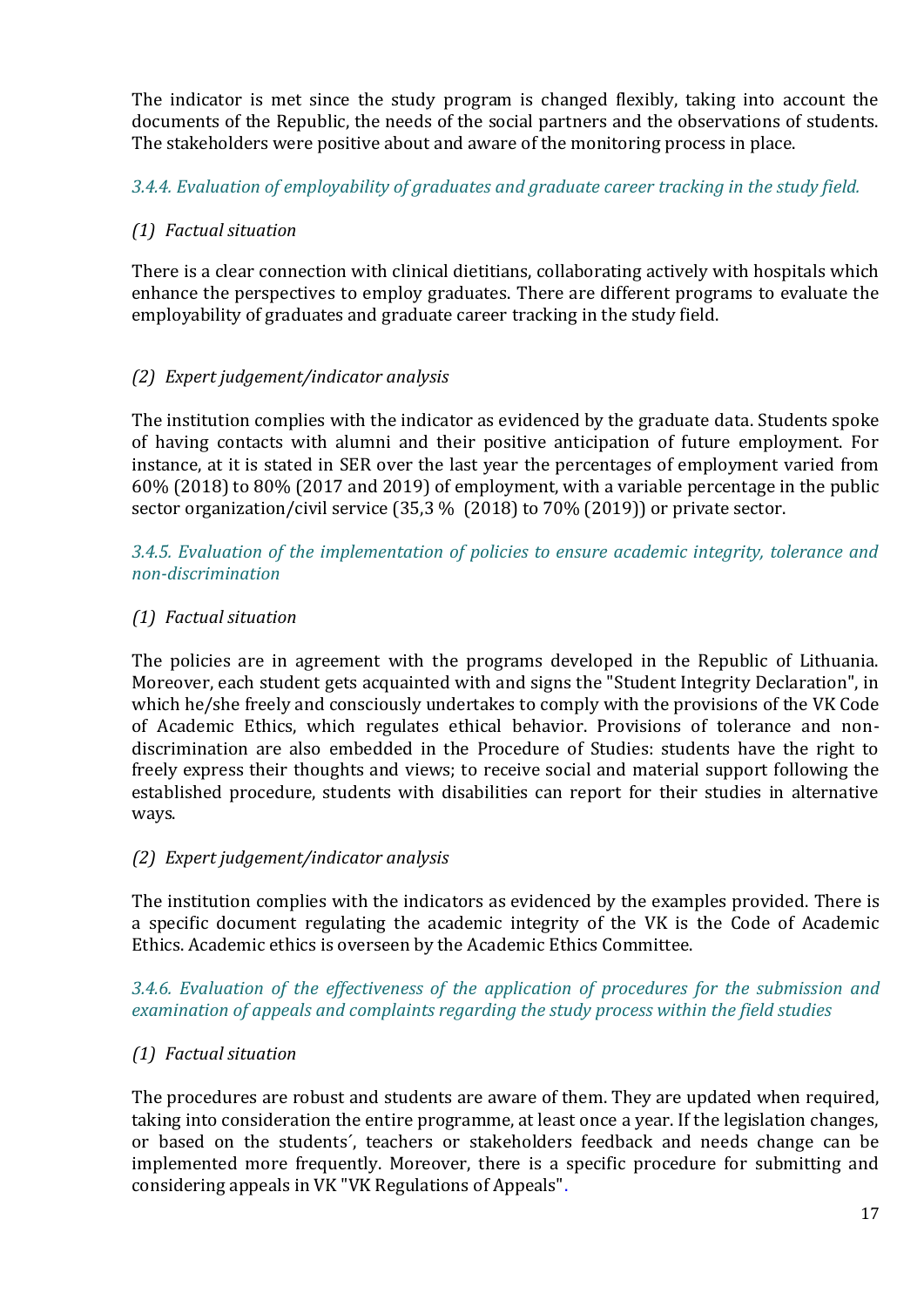The indicator is met since the study program is changed flexibly, taking into account the documents of the Republic, the needs of the social partners and the observations of students. The stakeholders were positive about and aware of the monitoring process in place.

*3.4.4. Evaluation of employability of graduates and graduate career tracking in the study field.*

# *(1) Factual situation*

There is a clear connection with clinical dietitians, collaborating actively with hospitals which enhance the perspectives to employ graduates. There are different programs to evaluate the employability of graduates and graduate career tracking in the study field.

# *(2) Expert judgement/indicator analysis*

The institution complies with the indicator as evidenced by the graduate data. Students spoke of having contacts with alumni and their positive anticipation of future employment. For instance, at it is stated in SER over the last year the percentages of employment varied from 60% (2018) to 80% (2017 and 2019) of employment, with a variable percentage in the public sector organization/civil service (35,3 % (2018) to 70% (2019)) or private sector.

*3.4.5. Evaluation of the implementation of policies to ensure academic integrity, tolerance and non-discrimination*

# *(1) Factual situation*

The policies are in agreement with the programs developed in the Republic of Lithuania. Moreover, each student gets acquainted with and signs the "Student Integrity Declaration", in which he/she freely and consciously undertakes to comply with the provisions of the VK Code of Academic Ethics, which regulates ethical behavior. Provisions of tolerance and nondiscrimination are also embedded in the Procedure of Studies: students have the right to freely express their thoughts and views; to receive social and material support following the established procedure, students with disabilities can report for their studies in alternative ways.

# *(2) Expert judgement/indicator analysis*

The institution complies with the indicators as evidenced by the examples provided. There is a specific document regulating the academic integrity of the VK is the Code of Academic Ethics. Academic ethics is overseen by the Academic Ethics Committee.

# *3.4.6. Evaluation of the effectiveness of the application of procedures for the submission and examination of appeals and complaints regarding the study process within the field studies*

# *(1) Factual situation*

The procedures are robust and students are aware of them. They are updated when required, taking into consideration the entire programme, at least once a year. If the legislation changes, or based on the students´, teachers or stakeholders feedback and needs change can be implemented more frequently. Moreover, there is a specific procedure for submitting and considering appeals in VK "VK Regulations of Appeals".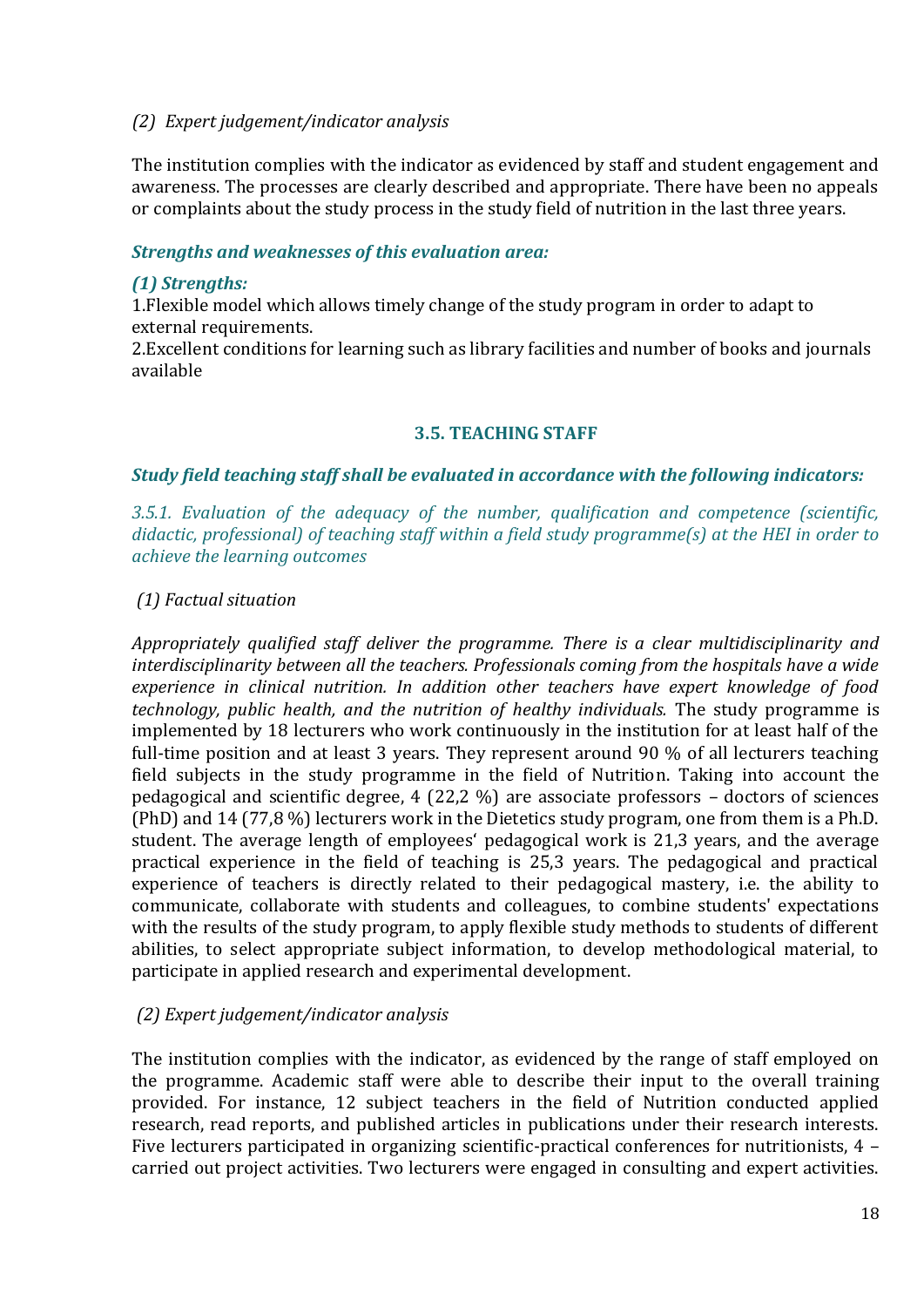#### *(2) Expert judgement/indicator analysis*

The institution complies with the indicator as evidenced by staff and student engagement and awareness. The processes are clearly described and appropriate. There have been no appeals or complaints about the study process in the study field of nutrition in the last three years.

#### *Strengths and weaknesses of this evaluation area:*

#### *(1) Strengths:*

1.Flexible model which allows timely change of the study program in order to adapt to external requirements.

2.Excellent conditions for learning such as library facilities and number of books and journals available

#### **3.5. TEACHING STAFF**

#### <span id="page-17-0"></span>*Study field teaching staff shall be evaluated in accordance with the following indicators:*

*3.5.1. Evaluation of the adequacy of the number, qualification and competence (scientific, didactic, professional) of teaching staff within a field study programme(s) at the HEI in order to achieve the learning outcomes*

#### *(1) Factual situation*

*Appropriately qualified staff deliver the programme. There is a clear multidisciplinarity and interdisciplinarity between all the teachers. Professionals coming from the hospitals have a wide experience in clinical nutrition. In addition other teachers have expert knowledge of food technology, public health, and the nutrition of healthy individuals.* The study programme is implemented by 18 lecturers who work continuously in the institution for at least half of the full-time position and at least 3 years. They represent around 90 % of all lecturers teaching field subjects in the study programme in the field of Nutrition. Taking into account the pedagogical and scientific degree, 4 (22,2 %) are associate professors – doctors of sciences (PhD) and 14 (77,8 %) lecturers work in the Dietetics study program, one from them is a Ph.D. student. The average length of employees' pedagogical work is 21,3 years, and the average practical experience in the field of teaching is 25,3 years. The pedagogical and practical experience of teachers is directly related to their pedagogical mastery, i.e. the ability to communicate, collaborate with students and colleagues, to combine students' expectations with the results of the study program, to apply flexible study methods to students of different abilities, to select appropriate subject information, to develop methodological material, to participate in applied research and experimental development.

#### *(2) Expert judgement/indicator analysis*

The institution complies with the indicator, as evidenced by the range of staff employed on the programme. Academic staff were able to describe their input to the overall training provided. For instance, 12 subject teachers in the field of Nutrition conducted applied research, read reports, and published articles in publications under their research interests. Five lecturers participated in organizing scientific-practical conferences for nutritionists, 4 – carried out project activities. Two lecturers were engaged in consulting and expert activities.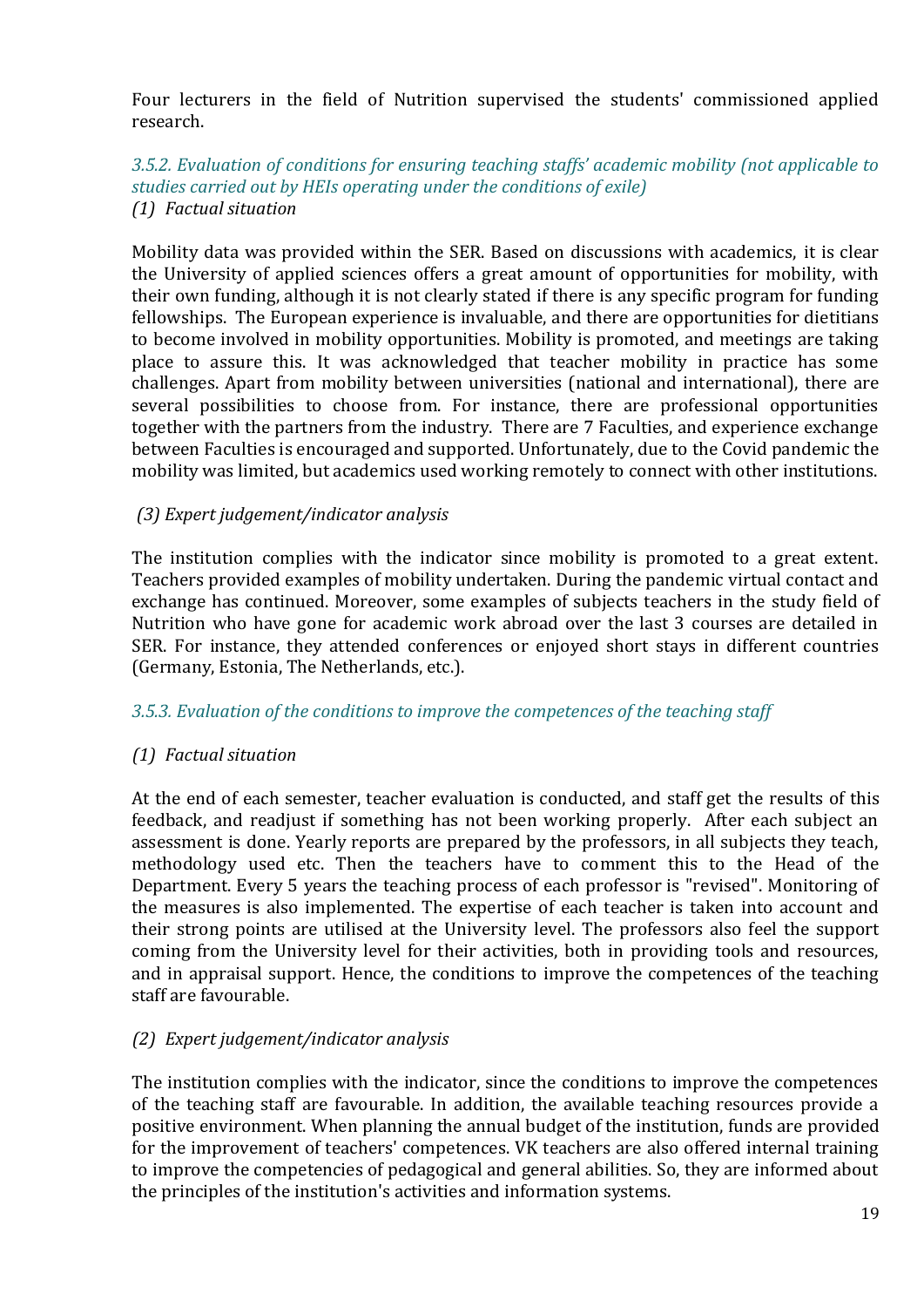Four lecturers in the field of Nutrition supervised the students' commissioned applied research.

#### *3.5.2. Evaluation of conditions for ensuring teaching staffs' academic mobility (not applicable to studies carried out by HEIs operating under the conditions of exile) (1) Factual situation*

Mobility data was provided within the SER. Based on discussions with academics, it is clear the University of applied sciences offers a great amount of opportunities for mobility, with their own funding, although it is not clearly stated if there is any specific program for funding fellowships. The European experience is invaluable, and there are opportunities for dietitians to become involved in mobility opportunities. Mobility is promoted, and meetings are taking place to assure this. It was acknowledged that teacher mobility in practice has some challenges. Apart from mobility between universities (national and international), there are several possibilities to choose from. For instance, there are professional opportunities together with the partners from the industry. There are 7 Faculties, and experience exchange between Faculties is encouraged and supported. Unfortunately, due to the Covid pandemic the mobility was limited, but academics used working remotely to connect with other institutions.

#### *(3) Expert judgement/indicator analysis*

The institution complies with the indicator since mobility is promoted to a great extent. Teachers provided examples of mobility undertaken. During the pandemic virtual contact and exchange has continued. Moreover, some examples of subjects teachers in the study field of Nutrition who have gone for academic work abroad over the last 3 courses are detailed in SER. For instance, they attended conferences or enjoyed short stays in different countries (Germany, Estonia, The Netherlands, etc.).

#### *3.5.3. Evaluation of the conditions to improve the competences of the teaching staff*

# *(1) Factual situation*

At the end of each semester, teacher evaluation is conducted, and staff get the results of this feedback, and readjust if something has not been working properly. After each subject an assessment is done. Yearly reports are prepared by the professors, in all subjects they teach, methodology used etc. Then the teachers have to comment this to the Head of the Department. Every 5 years the teaching process of each professor is "revised". Monitoring of the measures is also implemented. The expertise of each teacher is taken into account and their strong points are utilised at the University level. The professors also feel the support coming from the University level for their activities, both in providing tools and resources, and in appraisal support. Hence, the conditions to improve the competences of the teaching staff are favourable.

# *(2) Expert judgement/indicator analysis*

The institution complies with the indicator, since the conditions to improve the competences of the teaching staff are favourable. In addition, the available teaching resources provide a positive environment. When planning the annual budget of the institution, funds are provided for the improvement of teachers' competences. VK teachers are also offered internal training to improve the competencies of pedagogical and general abilities. So, they are informed about the principles of the institution's activities and information systems.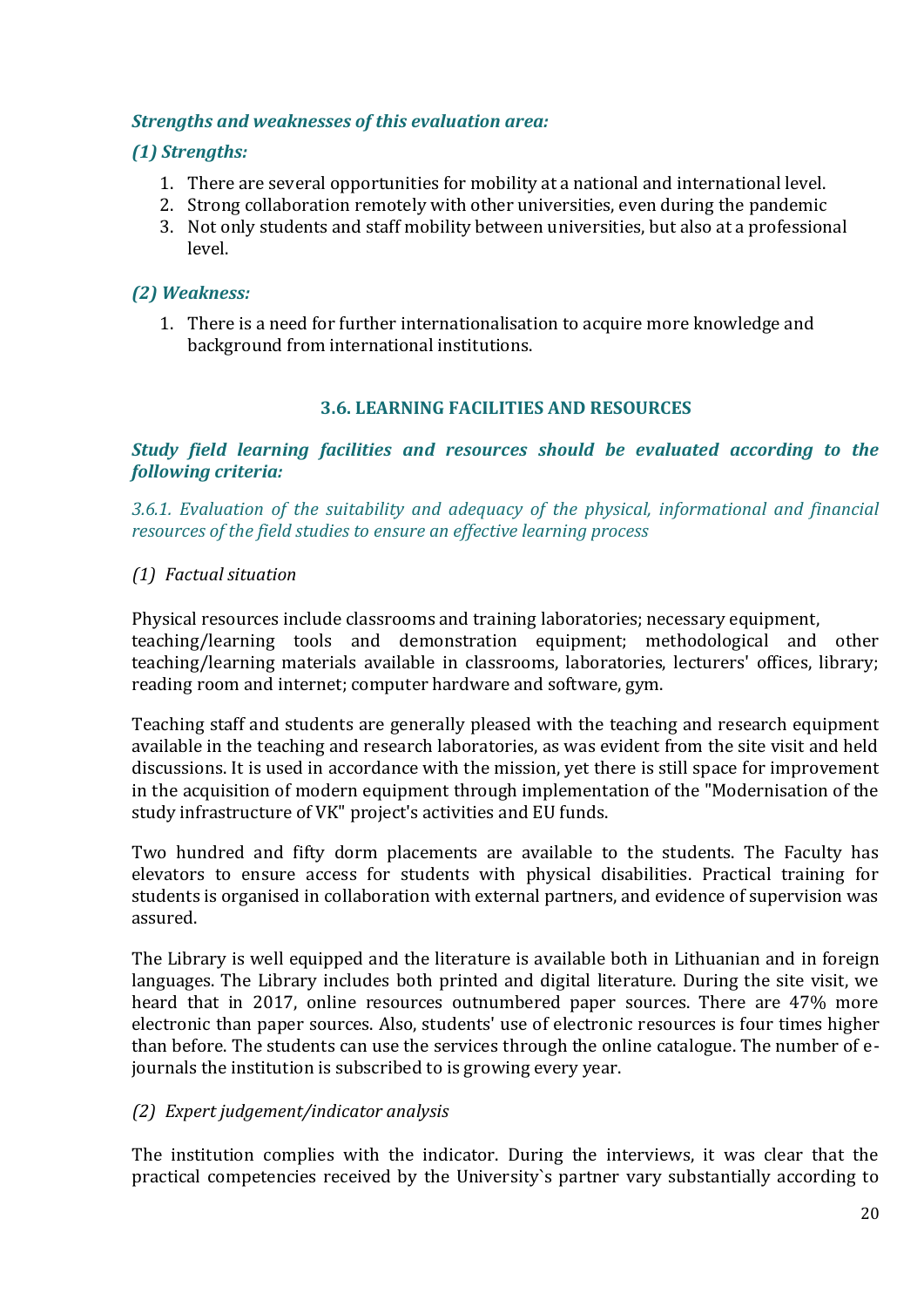#### *Strengths and weaknesses of this evaluation area:*

### *(1) Strengths:*

- 1. There are several opportunities for mobility at a national and international level.
- 2. Strong collaboration remotely with other universities, even during the pandemic
- 3. Not only students and staff mobility between universities, but also at a professional level.

# *(2) Weakness:*

1. There is a need for further internationalisation to acquire more knowledge and background from international institutions.

#### **3.6. LEARNING FACILITIES AND RESOURCES**

<span id="page-19-0"></span>*Study field learning facilities and resources should be evaluated according to the following criteria:*

*3.6.1. Evaluation of the suitability and adequacy of the physical, informational and financial resources of the field studies to ensure an effective learning process*

#### *(1) Factual situation*

Physical resources include classrooms and training laboratories; necessary equipment, teaching/learning tools and demonstration equipment; methodological and other teaching/learning materials available in classrooms, laboratories, lecturers' offices, library; reading room and internet; computer hardware and software, gym.

Teaching staff and students are generally pleased with the teaching and research equipment available in the teaching and research laboratories, as was evident from the site visit and held discussions. It is used in accordance with the mission, yet there is still space for improvement in the acquisition of modern equipment through implementation of the "Modernisation of the study infrastructure of VK" project's activities and EU funds.

Two hundred and fifty dorm placements are available to the students. The Faculty has elevators to ensure access for students with physical disabilities. Practical training for students is organised in collaboration with external partners, and evidence of supervision was assured.

The Library is well equipped and the literature is available both in Lithuanian and in foreign languages. The Library includes both printed and digital literature. During the site visit, we heard that in 2017, online resources outnumbered paper sources. There are 47% more electronic than paper sources. Also, students' use of electronic resources is four times higher than before. The students can use the services through the online catalogue. The number of ejournals the institution is subscribed to is growing every year.

# *(2) Expert judgement/indicator analysis*

The institution complies with the indicator. During the interviews, it was clear that the practical competencies received by the University`s partner vary substantially according to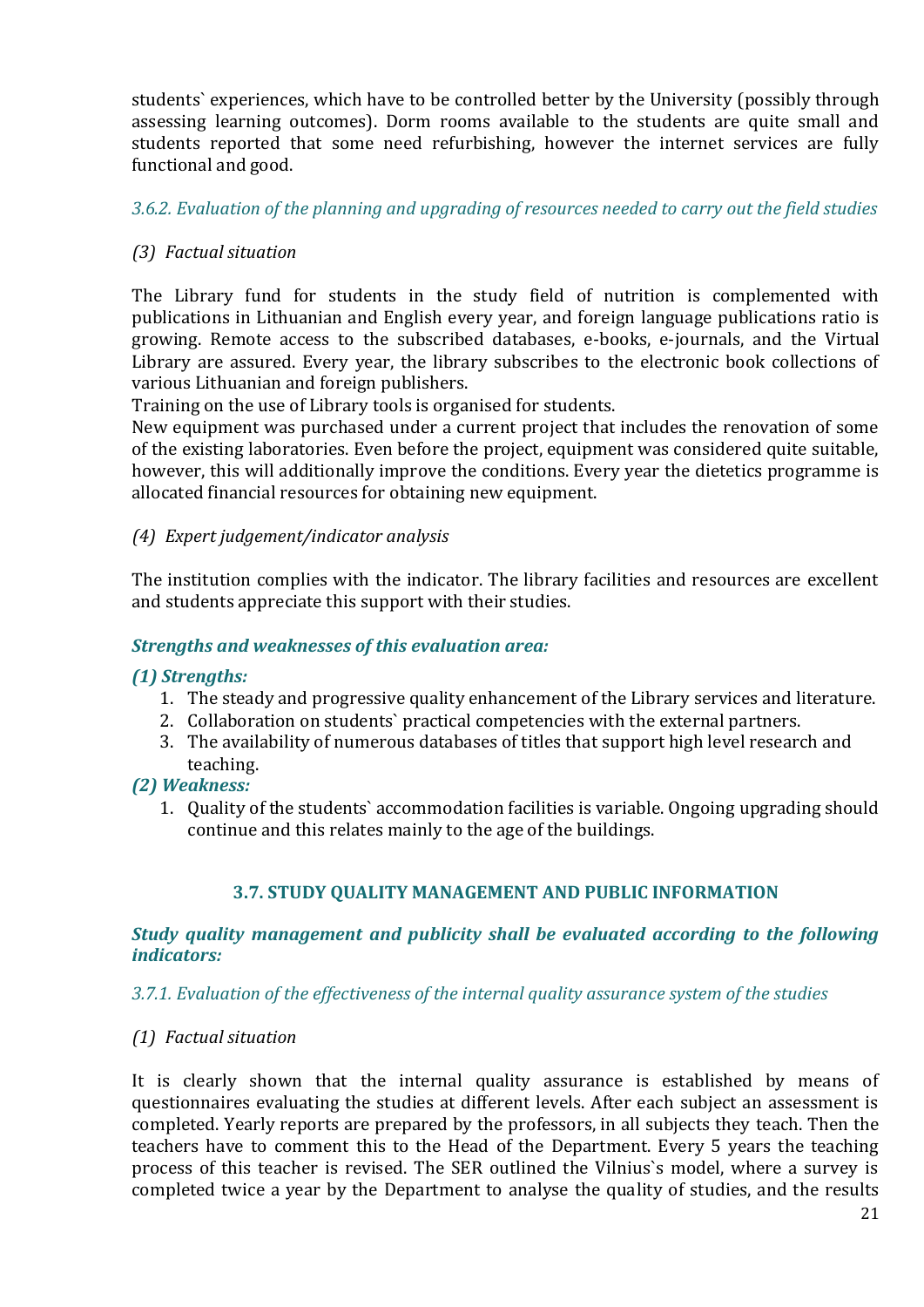students` experiences, which have to be controlled better by the University (possibly through assessing learning outcomes). Dorm rooms available to the students are quite small and students reported that some need refurbishing, however the internet services are fully functional and good.

# *3.6.2. Evaluation of the planning and upgrading of resources needed to carry out the field studies*

# *(3) Factual situation*

The Library fund for students in the study field of nutrition is complemented with publications in Lithuanian and English every year, and foreign language publications ratio is growing. Remote access to the subscribed databases, e-books, e-journals, and the Virtual Library are assured. Every year, the library subscribes to the electronic book collections of various Lithuanian and foreign publishers.

Training on the use of Library tools is organised for students.

New equipment was purchased under a current project that includes the renovation of some of the existing laboratories. Even before the project, equipment was considered quite suitable, however, this will additionally improve the conditions. Every year the dietetics programme is allocated financial resources for obtaining new equipment.

#### *(4) Expert judgement/indicator analysis*

The institution complies with the indicator. The library facilities and resources are excellent and students appreciate this support with their studies.

#### *Strengths and weaknesses of this evaluation area:*

#### *(1) Strengths:*

- 1. The steady and progressive quality enhancement of the Library services and literature.
- 2. Collaboration on students` practical competencies with the external partners.
- 3. The availability of numerous databases of titles that support high level research and teaching.

#### *(2) Weakness:*

1. Quality of the students` accommodation facilities is variable. Ongoing upgrading should continue and this relates mainly to the age of the buildings.

# **3.7. STUDY QUALITY MANAGEMENT AND PUBLIC INFORMATION**

#### <span id="page-20-0"></span>*Study quality management and publicity shall be evaluated according to the following indicators:*

#### *3.7.1. Evaluation of the effectiveness of the internal quality assurance system of the studies*

#### *(1) Factual situation*

It is clearly shown that the internal quality assurance is established by means of questionnaires evaluating the studies at different levels. After each subject an assessment is completed. Yearly reports are prepared by the professors, in all subjects they teach. Then the teachers have to comment this to the Head of the Department. Every 5 years the teaching process of this teacher is revised. The SER outlined the Vilnius`s model, where a survey is completed twice a year by the Department to analyse the quality of studies, and the results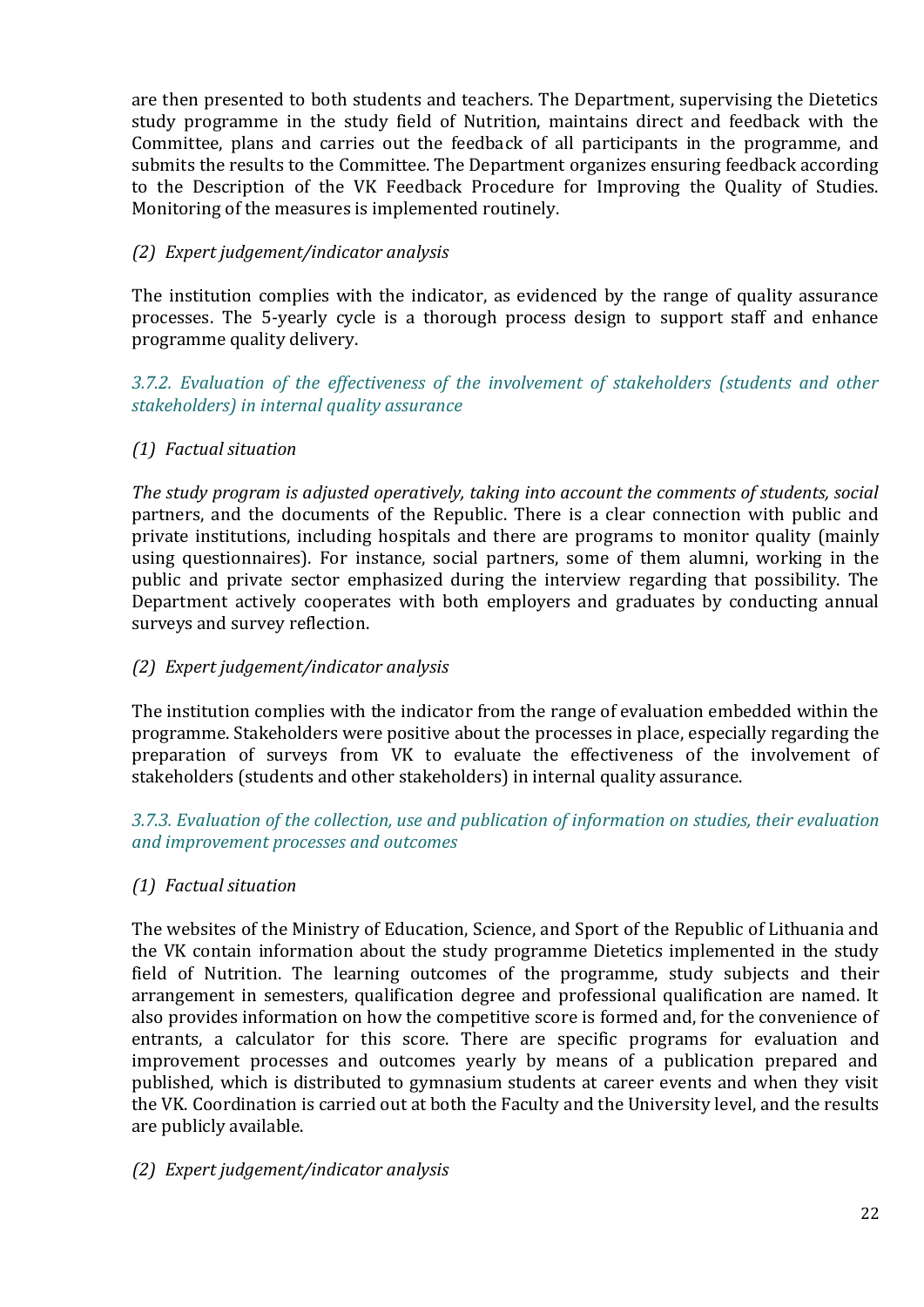are then presented to both students and teachers. The Department, supervising the Dietetics study programme in the study field of Nutrition, maintains direct and feedback with the Committee, plans and carries out the feedback of all participants in the programme, and submits the results to the Committee. The Department organizes ensuring feedback according to the Description of the VK Feedback Procedure for Improving the Quality of Studies. Monitoring of the measures is implemented routinely.

# *(2) Expert judgement/indicator analysis*

The institution complies with the indicator, as evidenced by the range of quality assurance processes. The 5-yearly cycle is a thorough process design to support staff and enhance programme quality delivery.

### *3.7.2. Evaluation of the effectiveness of the involvement of stakeholders (students and other stakeholders) in internal quality assurance*

# *(1) Factual situation*

*The study program is adjusted operatively, taking into account the comments of students, social*  partners, and the documents of the Republic. There is a clear connection with public and private institutions, including hospitals and there are programs to monitor quality (mainly using questionnaires)*.* For instance, social partners, some of them alumni, working in the public and private sector emphasized during the interview regarding that possibility. The Department actively cooperates with both employers and graduates by conducting annual surveys and survey reflection.

# *(2) Expert judgement/indicator analysis*

The institution complies with the indicator from the range of evaluation embedded within the programme. Stakeholders were positive about the processes in place, especially regarding the preparation of surveys from VK to evaluate the effectiveness of the involvement of stakeholders (students and other stakeholders) in internal quality assurance.

# *3.7.3. Evaluation of the collection, use and publication of information on studies, their evaluation and improvement processes and outcomes*

# *(1) Factual situation*

The websites of the Ministry of Education, Science, and Sport of the Republic of Lithuania and the VK contain information about the study programme Dietetics implemented in the study field of Nutrition. The learning outcomes of the programme, study subjects and their arrangement in semesters, qualification degree and professional qualification are named. It also provides information on how the competitive score is formed and, for the convenience of entrants, a calculator for this score. There are specific programs for evaluation and improvement processes and outcomes yearly by means of a publication prepared and published, which is distributed to gymnasium students at career events and when they visit the VK. Coordination is carried out at both the Faculty and the University level, and the results are publicly available.

#### *(2) Expert judgement/indicator analysis*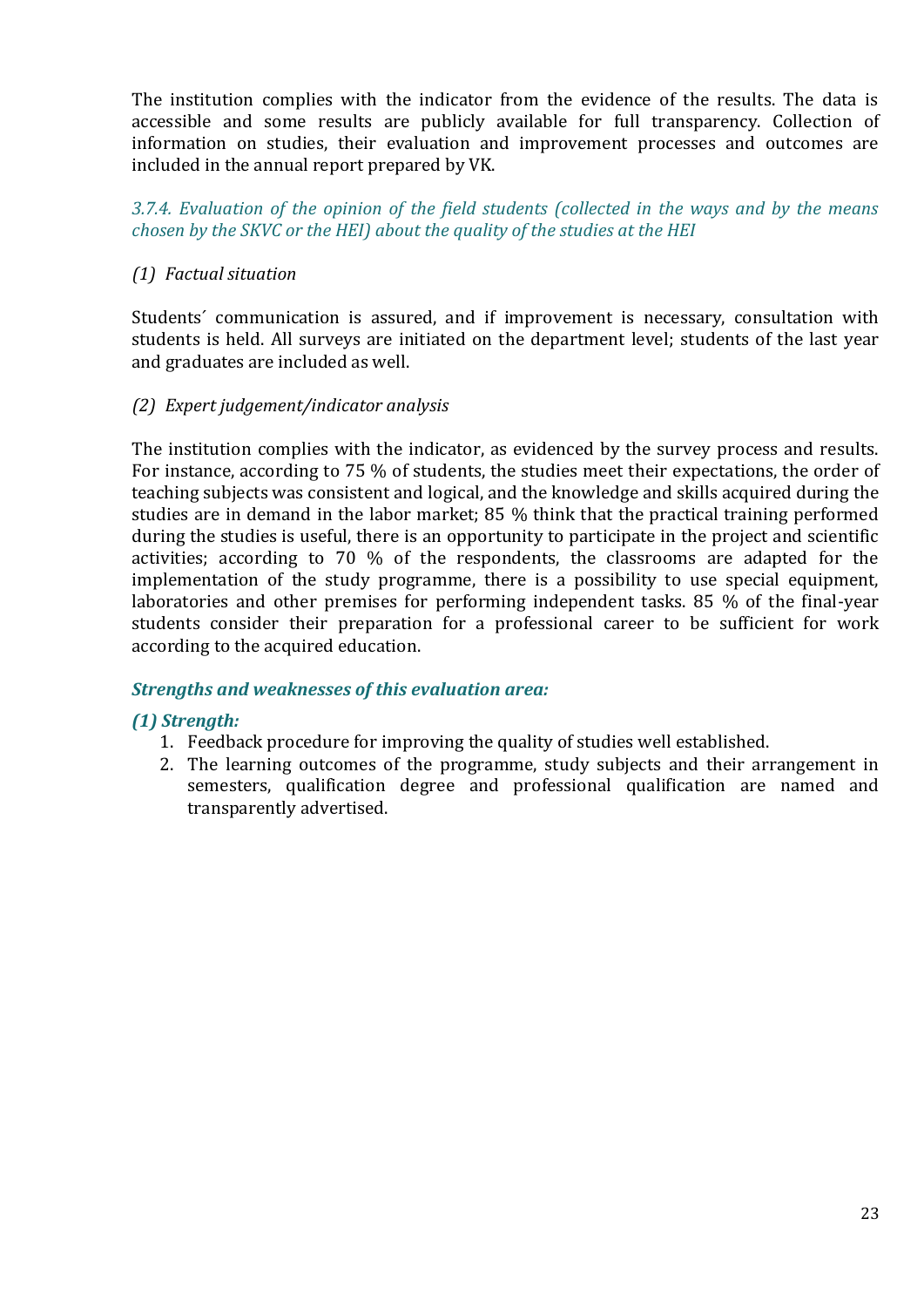The institution complies with the indicator from the evidence of the results. The data is accessible and some results are publicly available for full transparency. Collection of information on studies, their evaluation and improvement processes and outcomes are included in the annual report prepared by VK.

*3.7.4. Evaluation of the opinion of the field students (collected in the ways and by the means chosen by the SKVC or the HEI) about the quality of the studies at the HEI*

# *(1) Factual situation*

Students´ communication is assured, and if improvement is necessary, consultation with students is held. All surveys are initiated on the department level; students of the last year and graduates are included as well.

#### *(2) Expert judgement/indicator analysis*

The institution complies with the indicator, as evidenced by the survey process and results. For instance, according to 75 % of students, the studies meet their expectations, the order of teaching subjects was consistent and logical, and the knowledge and skills acquired during the studies are in demand in the labor market; 85 % think that the practical training performed during the studies is useful, there is an opportunity to participate in the project and scientific activities; according to 70 % of the respondents, the classrooms are adapted for the implementation of the study programme, there is a possibility to use special equipment, laboratories and other premises for performing independent tasks. 85 % of the final-year students consider their preparation for a professional career to be sufficient for work according to the acquired education.

#### *Strengths and weaknesses of this evaluation area:*

# *(1) Strength:*

- 1. Feedback procedure for improving the quality of studies well established.
- 2. The learning outcomes of the programme, study subjects and their arrangement in semesters, qualification degree and professional qualification are named and transparently advertised.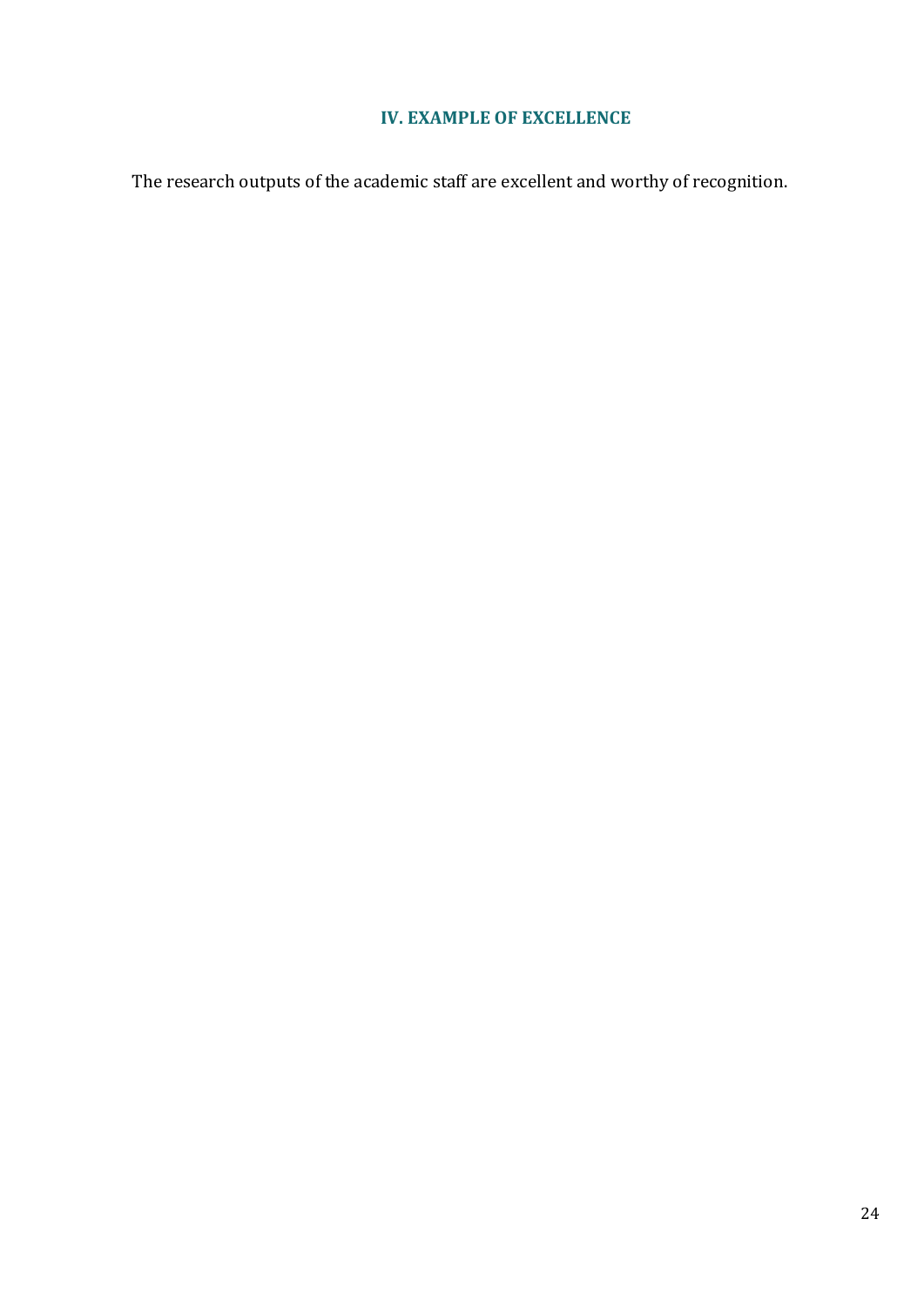# **IV. EXAMPLE OF EXCELLENCE**

<span id="page-23-0"></span>The research outputs of the academic staff are excellent and worthy of recognition.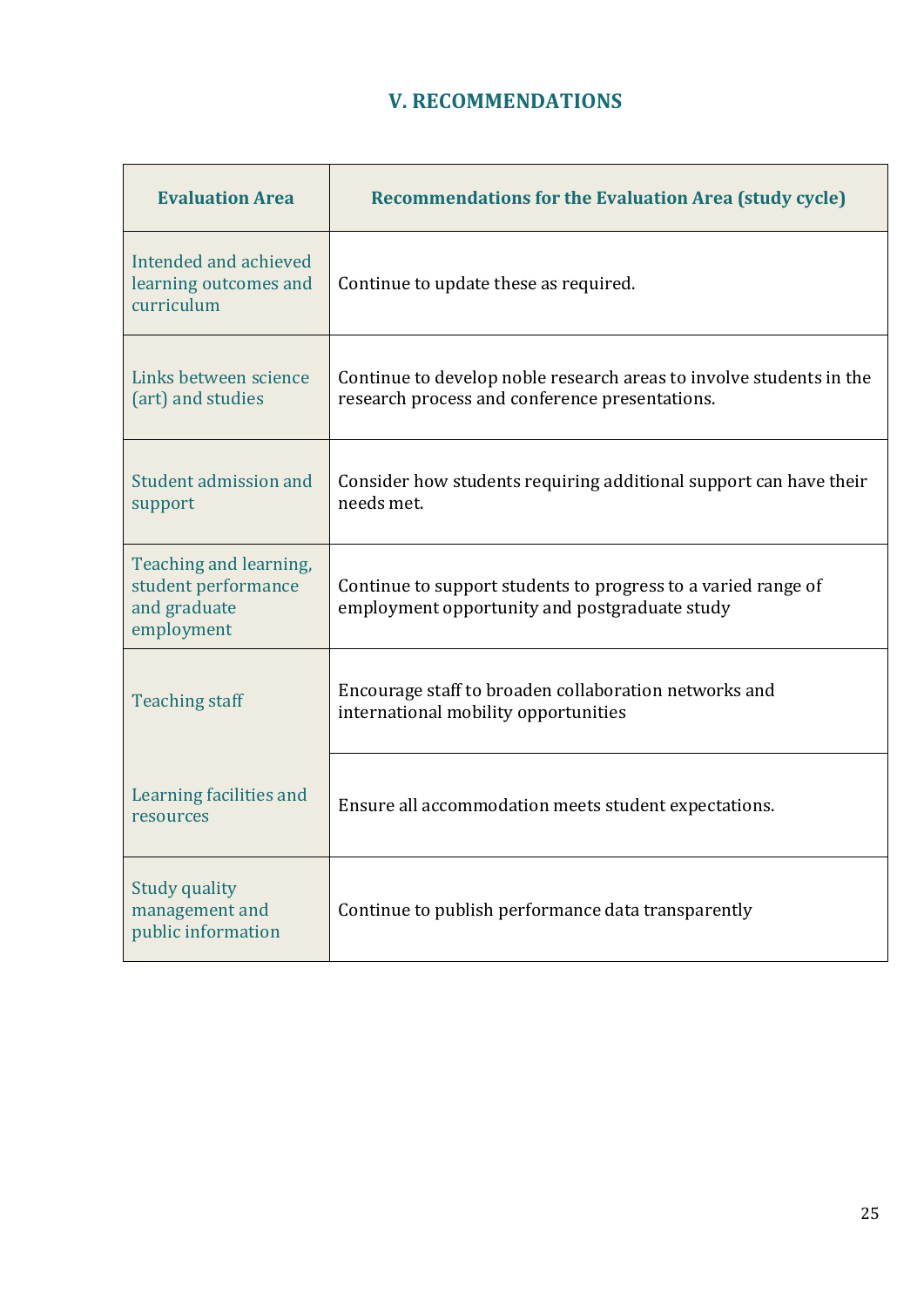# **V. RECOMMENDATIONS**

<span id="page-24-0"></span>

| <b>Evaluation Area</b>                                                      | <b>Recommendations for the Evaluation Area (study cycle)</b>                                                          |
|-----------------------------------------------------------------------------|-----------------------------------------------------------------------------------------------------------------------|
| Intended and achieved<br>learning outcomes and<br>curriculum                | Continue to update these as required.                                                                                 |
| Links between science<br>(art) and studies                                  | Continue to develop noble research areas to involve students in the<br>research process and conference presentations. |
| Student admission and<br>support                                            | Consider how students requiring additional support can have their<br>needs met.                                       |
| Teaching and learning,<br>student performance<br>and graduate<br>employment | Continue to support students to progress to a varied range of<br>employment opportunity and postgraduate study        |
| <b>Teaching staff</b>                                                       | Encourage staff to broaden collaboration networks and<br>international mobility opportunities                         |
| Learning facilities and<br>resources                                        | Ensure all accommodation meets student expectations.                                                                  |
| <b>Study quality</b><br>management and<br>public information                | Continue to publish performance data transparently                                                                    |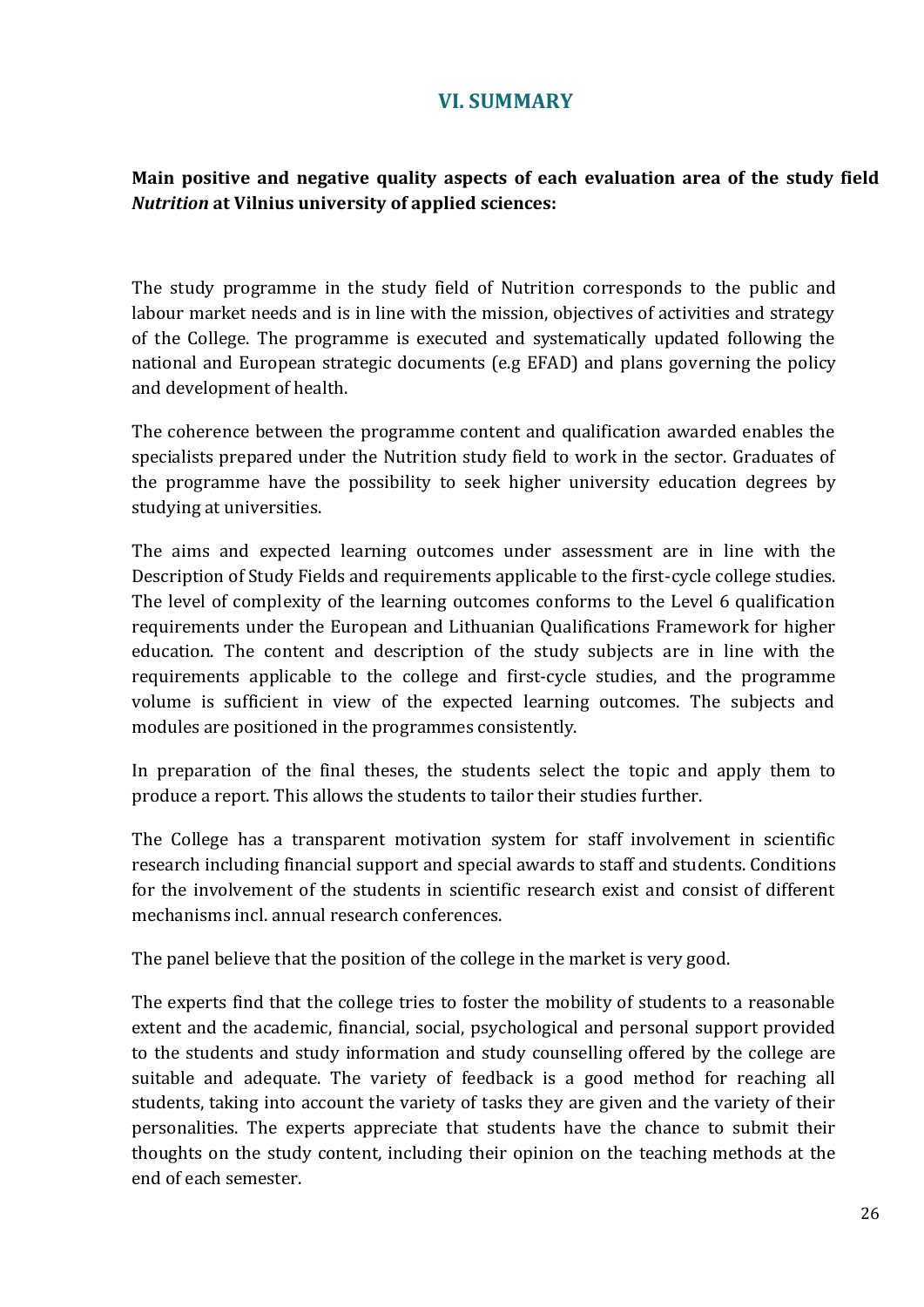# **VI. SUMMARY**

# <span id="page-25-0"></span>**Main positive and negative quality aspects of each evaluation area of the study field**  *Nutrition* **at Vilnius university of applied sciences:**

The study programme in the study field of Nutrition corresponds to the public and labour market needs and is in line with the mission, objectives of activities and strategy of the College. The programme is executed and systematically updated following the national and European strategic documents (e.g EFAD) and plans governing the policy and development of health.

The coherence between the programme content and qualification awarded enables the specialists prepared under the Nutrition study field to work in the sector. Graduates of the programme have the possibility to seek higher university education degrees by studying at universities.

The aims and expected learning outcomes under assessment are in line with the Description of Study Fields and requirements applicable to the first-cycle college studies. The level of complexity of the learning outcomes conforms to the Level 6 qualification requirements under the European and Lithuanian Qualifications Framework for higher education. The content and description of the study subjects are in line with the requirements applicable to the college and first-cycle studies, and the programme volume is sufficient in view of the expected learning outcomes. The subjects and modules are positioned in the programmes consistently.

In preparation of the final theses, the students select the topic and apply them to produce a report. This allows the students to tailor their studies further.

The College has a transparent motivation system for staff involvement in scientific research including financial support and special awards to staff and students. Conditions for the involvement of the students in scientific research exist and consist of different mechanisms incl. annual research conferences.

The panel believe that the position of the college in the market is very good.

The experts find that the college tries to foster the mobility of students to a reasonable extent and the academic, financial, social, psychological and personal support provided to the students and study information and study counselling offered by the college are suitable and adequate. The variety of feedback is a good method for reaching all students, taking into account the variety of tasks they are given and the variety of their personalities. The experts appreciate that students have the chance to submit their thoughts on the study content, including their opinion on the teaching methods at the end of each semester.